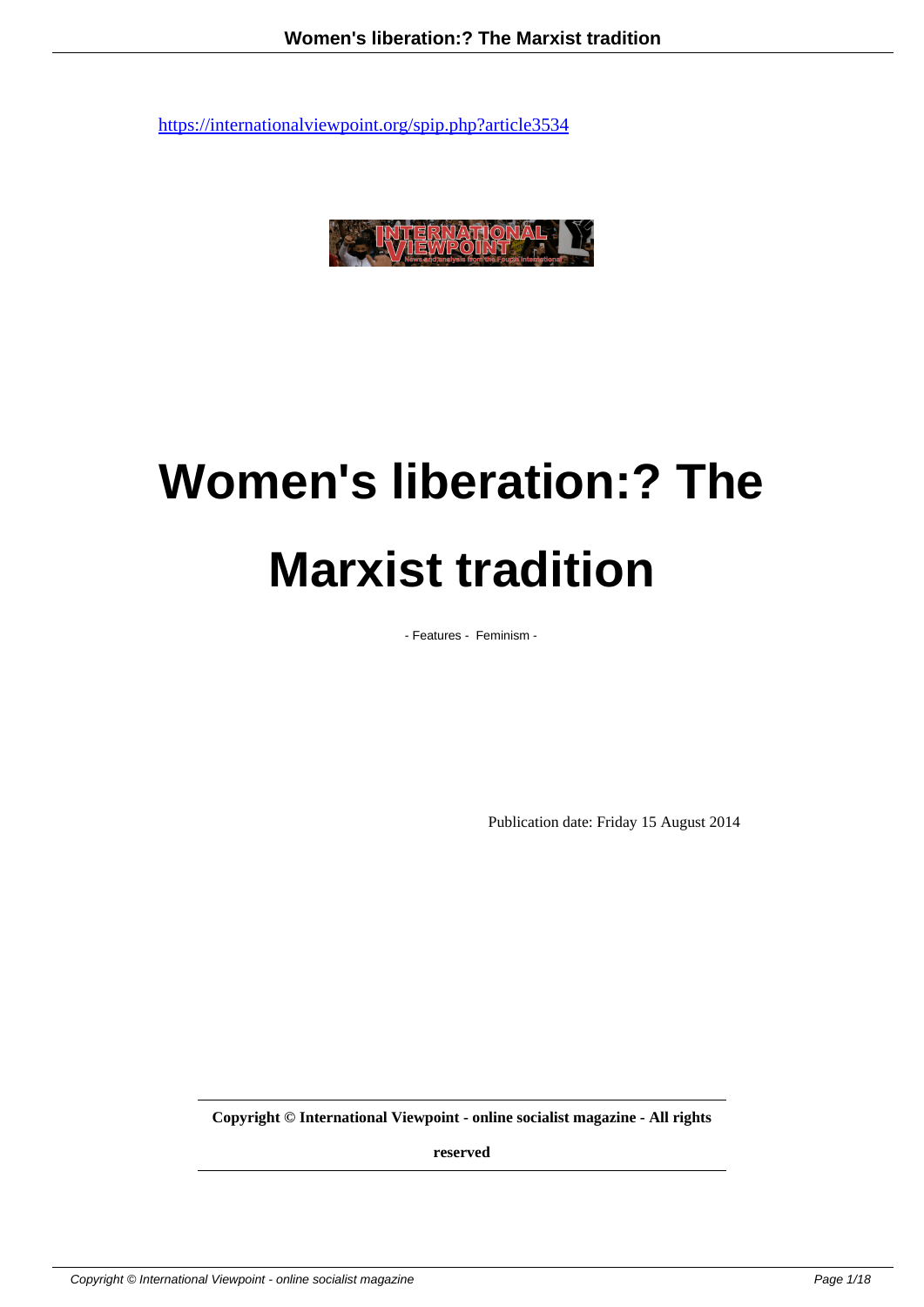

# **Women's liberation:? The Marxist tradition**

- Features - Feminism -

Publication date: Friday 15 August 2014

**Copyright © International Viewpoint - online socialist magazine - All rights**

**reserved**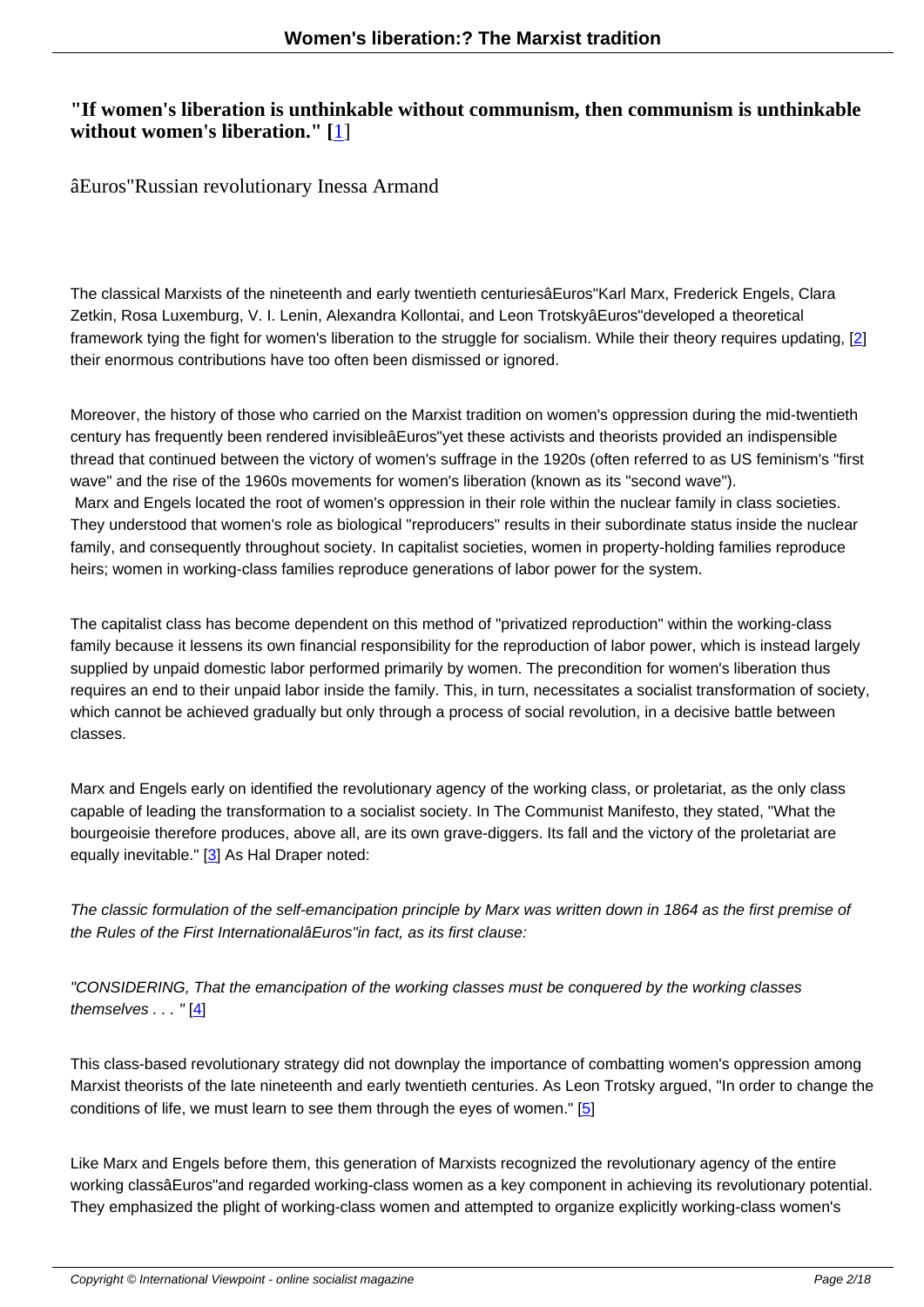### **"If women's liberation is unthinkable without communism, then communism is unthinkable without women's liberation." [**1]

âEuros"Russian revolutionary Inessa Armand

The classical Marxists of the nineteenth and early twentieth centuriesâEuros"Karl Marx, Frederick Engels, Clara Zetkin, Rosa Luxemburg, V. I. Lenin, Alexandra Kollontai, and Leon TrotskyâEuros"developed a theoretical framework tying the fight for women's liberation to the struggle for socialism. While their theory requires updating, [2] their enormous contributions have too often been dismissed or ignored.

Moreover, the history of those who carried on the Marxist tradition on women's oppression during the mid-twentiet[h](#nb2) century has frequently been rendered invisibleâEuros"yet these activists and theorists provided an indispensible thread that continued between the victory of women's suffrage in the 1920s (often referred to as US feminism's "first wave" and the rise of the 1960s movements for women's liberation (known as its "second wave"). Marx and Engels located the root of women's oppression in their role within the nuclear family in class societies. They understood that women's role as biological "reproducers" results in their subordinate status inside the nuclear family, and consequently throughout society. In capitalist societies, women in property-holding families reproduce heirs; women in working-class families reproduce generations of labor power for the system.

The capitalist class has become dependent on this method of "privatized reproduction" within the working-class family because it lessens its own financial responsibility for the reproduction of labor power, which is instead largely supplied by unpaid domestic labor performed primarily by women. The precondition for women's liberation thus requires an end to their unpaid labor inside the family. This, in turn, necessitates a socialist transformation of society, which cannot be achieved gradually but only through a process of social revolution, in a decisive battle between classes.

Marx and Engels early on identified the revolutionary agency of the working class, or proletariat, as the only class capable of leading the transformation to a socialist society. In The Communist Manifesto, they stated, "What the bourgeoisie therefore produces, above all, are its own grave-diggers. Its fall and the victory of the proletariat are equally inevitable." [3] As Hal Draper noted:

The classic formulation of the self-emancipation principle by Marx was written down in 1864 as the first premise of the Rules of the Fir[st](#nb3) InternationalâEuros"in fact, as its first clause:

"CONSIDERING, That the emancipation of the working classes must be conquered by the working classes themselves . . . " [4]

This class-based revolutionary strategy did not downplay the importance of combatting women's oppression among Marxist theorists [of](#nb4) the late nineteenth and early twentieth centuries. As Leon Trotsky argued, "In order to change the conditions of life, we must learn to see them through the eyes of women." [5]

Like Marx and Engels before them, this generation of Marxists recognized the revolutionary agency of the entire working classâEuros"and regarded working-class women as a key compo[ne](#nb5)nt in achieving its revolutionary potential. They emphasized the plight of working-class women and attempted to organize explicitly working-class women's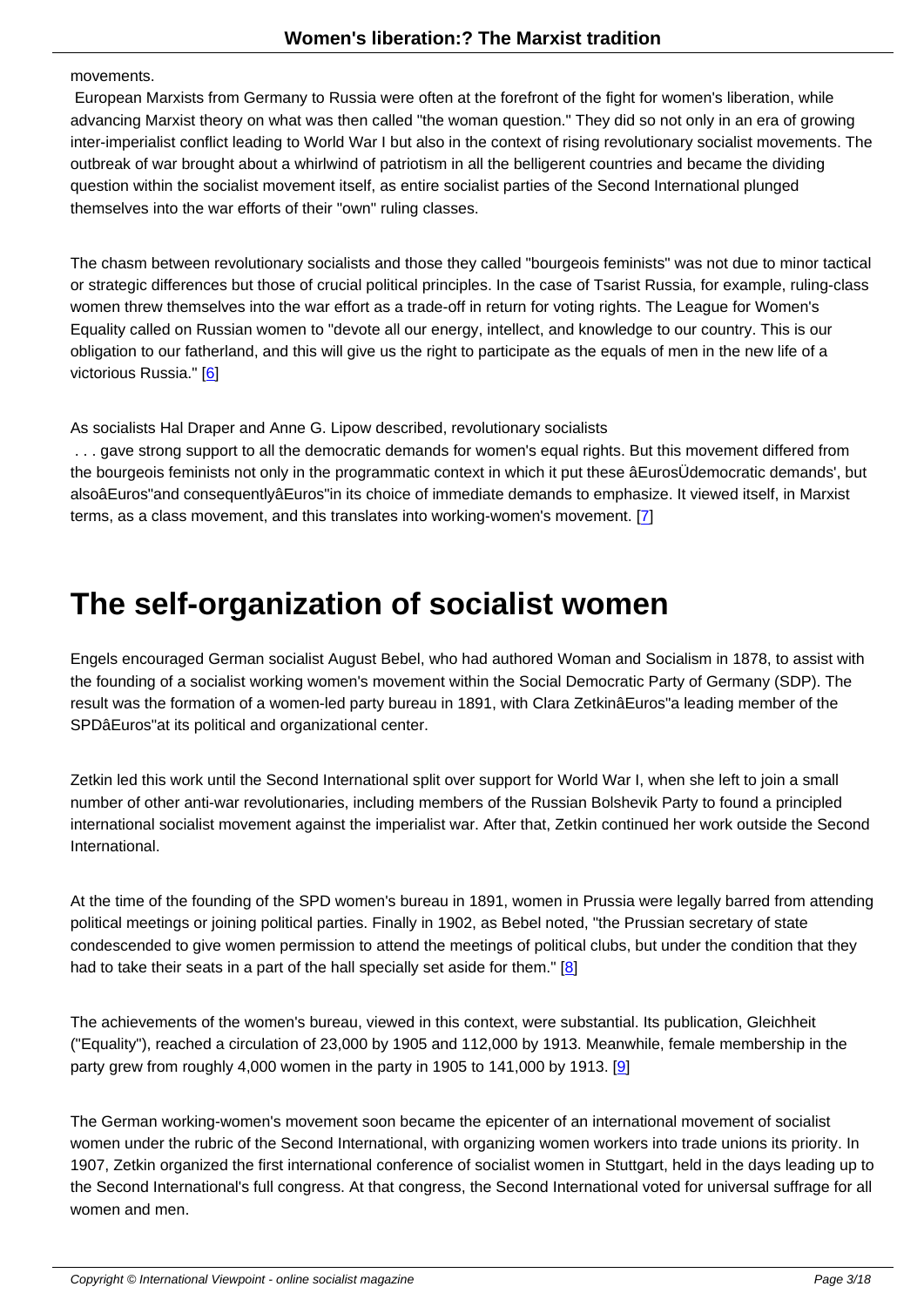movements.

 European Marxists from Germany to Russia were often at the forefront of the fight for women's liberation, while advancing Marxist theory on what was then called "the woman question." They did so not only in an era of growing inter-imperialist conflict leading to World War I but also in the context of rising revolutionary socialist movements. The outbreak of war brought about a whirlwind of patriotism in all the belligerent countries and became the dividing question within the socialist movement itself, as entire socialist parties of the Second International plunged themselves into the war efforts of their "own" ruling classes.

The chasm between revolutionary socialists and those they called "bourgeois feminists" was not due to minor tactical or strategic differences but those of crucial political principles. In the case of Tsarist Russia, for example, ruling-class women threw themselves into the war effort as a trade-off in return for voting rights. The League for Women's Equality called on Russian women to "devote all our energy, intellect, and knowledge to our country. This is our obligation to our fatherland, and this will give us the right to participate as the equals of men in the new life of a victorious Russia." [6]

As socialists Hal Draper and Anne G. Lipow described, revolutionary socialists

 . . . gave strong su[pp](#nb6)ort to all the democratic demands for women's equal rights. But this movement differed from the bourgeois feminists not only in the programmatic context in which it put these âEurosÜdemocratic demands', but alsoâEuros"and consequentlyâEuros"in its choice of immediate demands to emphasize. It viewed itself, in Marxist terms, as a class movement, and this translates into working-women's movement. [7]

### **The self-organization of socialist wom[e](#nb7)n**

Engels encouraged German socialist August Bebel, who had authored Woman and Socialism in 1878, to assist with the founding of a socialist working women's movement within the Social Democratic Party of Germany (SDP). The result was the formation of a women-led party bureau in 1891, with Clara ZetkinâEuros"a leading member of the SPDâEuros"at its political and organizational center.

Zetkin led this work until the Second International split over support for World War I, when she left to join a small number of other anti-war revolutionaries, including members of the Russian Bolshevik Party to found a principled international socialist movement against the imperialist war. After that, Zetkin continued her work outside the Second International.

At the time of the founding of the SPD women's bureau in 1891, women in Prussia were legally barred from attending political meetings or joining political parties. Finally in 1902, as Bebel noted, "the Prussian secretary of state condescended to give women permission to attend the meetings of political clubs, but under the condition that they had to take their seats in a part of the hall specially set aside for them."  $[8]$ 

The achievements of the women's bureau, viewed in this context, were substantial. Its publication, Gleichheit ("Equality"), reached a circulation of 23,000 by 1905 and 112,000 by 19[13](#nb8). Meanwhile, female membership in the party grew from roughly 4,000 women in the party in 1905 to 141,000 by 1913. [9]

The German working-women's movement soon became the epicenter of an international movement of socialist women under the rubric of the Second International, with organizing women wo[rk](#nb9)ers into trade unions its priority. In 1907, Zetkin organized the first international conference of socialist women in Stuttgart, held in the days leading up to the Second International's full congress. At that congress, the Second International voted for universal suffrage for all women and men.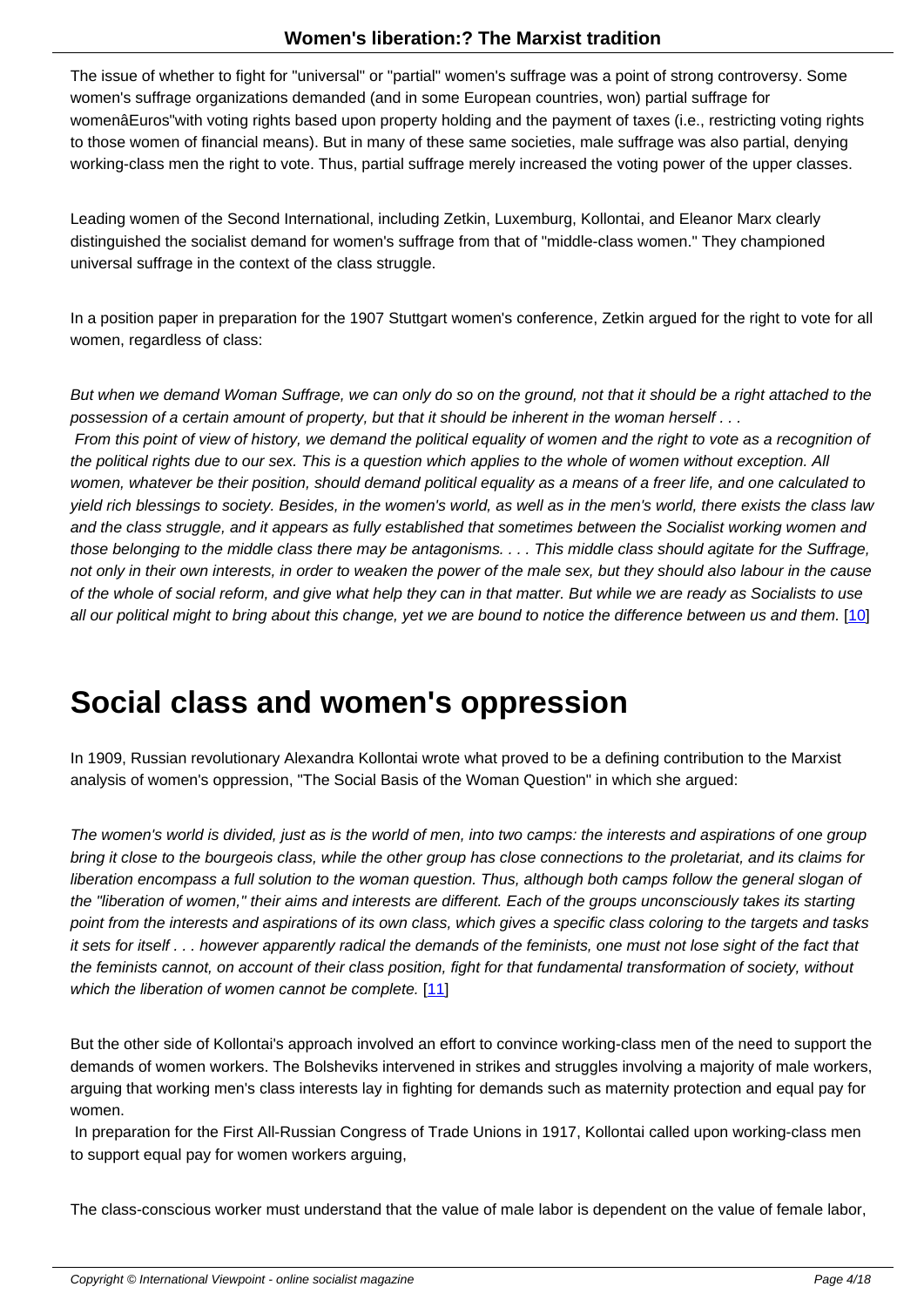The issue of whether to fight for "universal" or "partial" women's suffrage was a point of strong controversy. Some women's suffrage organizations demanded (and in some European countries, won) partial suffrage for womenâEuros"with voting rights based upon property holding and the payment of taxes (i.e., restricting voting rights to those women of financial means). But in many of these same societies, male suffrage was also partial, denying working-class men the right to vote. Thus, partial suffrage merely increased the voting power of the upper classes.

Leading women of the Second International, including Zetkin, Luxemburg, Kollontai, and Eleanor Marx clearly distinguished the socialist demand for women's suffrage from that of "middle-class women." They championed universal suffrage in the context of the class struggle.

In a position paper in preparation for the 1907 Stuttgart women's conference, Zetkin argued for the right to vote for all women, regardless of class:

But when we demand Woman Suffrage, we can only do so on the ground, not that it should be a right attached to the possession of a certain amount of property, but that it should be inherent in the woman herself . . . From this point of view of history, we demand the political equality of women and the right to vote as a recognition of the political rights due to our sex. This is a question which applies to the whole of women without exception. All women, whatever be their position, should demand political equality as a means of a freer life, and one calculated to yield rich blessings to society. Besides, in the women's world, as well as in the men's world, there exists the class law and the class struggle, and it appears as fully established that sometimes between the Socialist working women and those belonging to the middle class there may be antagonisms. . . . This middle class should agitate for the Suffrage, not only in their own interests, in order to weaken the power of the male sex, but they should also labour in the cause of the whole of social reform, and give what help they can in that matter. But while we are ready as Socialists to use all our political might to bring about this change, yet we are bound to notice the difference between us and them. [10]

### **Social class and women's oppression**

In 1909, Russian revolutionary Alexandra Kollontai wrote what proved to be a defining contribution to the Marxist analysis of women's oppression, "The Social Basis of the Woman Question" in which she argued:

The women's world is divided, just as is the world of men, into two camps: the interests and aspirations of one group bring it close to the bourgeois class, while the other group has close connections to the proletariat, and its claims for liberation encompass a full solution to the woman question. Thus, although both camps follow the general slogan of the "liberation of women," their aims and interests are different. Each of the groups unconsciously takes its starting point from the interests and aspirations of its own class, which gives a specific class coloring to the targets and tasks it sets for itself . . . however apparently radical the demands of the feminists, one must not lose sight of the fact that the feminists cannot, on account of their class position, fight for that fundamental transformation of society, without which the liberation of women cannot be complete. [11]

But the other side of Kollontai's approach involved an effort to convince working-class men of the need to support the demands of women workers. The Bolsheviks interv[ene](#nb11)d in strikes and struggles involving a majority of male workers, arguing that working men's class interests lay in fighting for demands such as maternity protection and equal pay for women.

 In preparation for the First All-Russian Congress of Trade Unions in 1917, Kollontai called upon working-class men to support equal pay for women workers arguing,

The class-conscious worker must understand that the value of male labor is dependent on the value of female labor,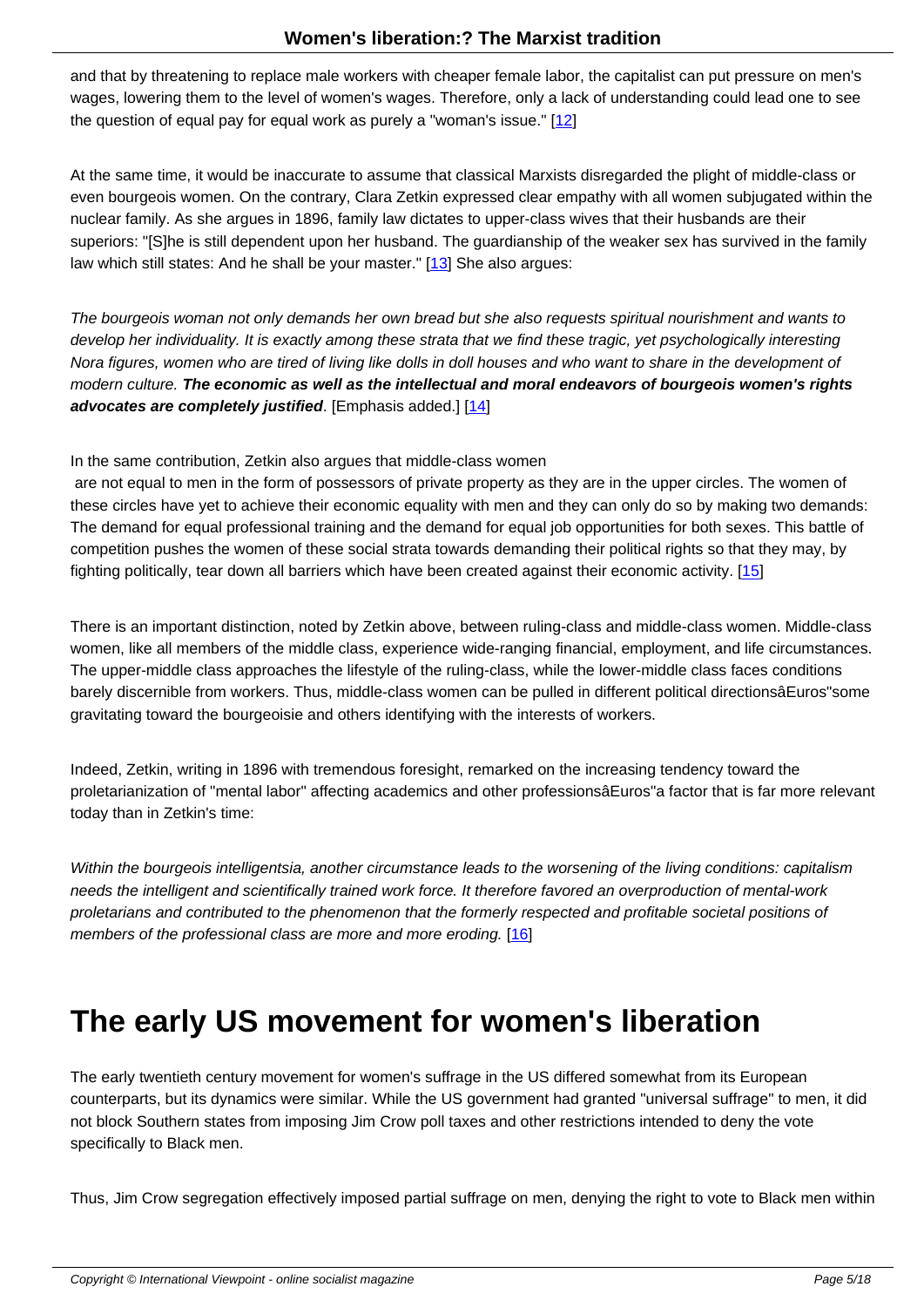and that by threatening to replace male workers with cheaper female labor, the capitalist can put pressure on men's wages, lowering them to the level of women's wages. Therefore, only a lack of understanding could lead one to see the question of equal pay for equal work as purely a "woman's issue." [12]

At the same time, it would be inaccurate to assume that classical Marxists disregarded the plight of middle-class or even bourgeois women. On the contrary, Clara Zetkin expressed clear [em](#nb12)pathy with all women subjugated within the nuclear family. As she argues in 1896, family law dictates to upper-class wives that their husbands are their superiors: "[S]he is still dependent upon her husband. The guardianship of the weaker sex has survived in the family law which still states: And he shall be your master." [13] She also argues:

The bourgeois woman not only demands her own bread but she also requests spiritual nourishment and wants to develop her individuality. It is exactly among these s[trat](#nb13)a that we find these tragic, yet psychologically interesting Nora figures, women who are tired of living like dolls in doll houses and who want to share in the development of modern culture. **The economic as well as the intellectual and moral endeavors of bourgeois women's rights** advocates are completely justified. [Emphasis added.] [14]

In the same contribution, Zetkin also argues that middle-class women

 are not equal to men in the form of possessors of private [pro](#nb14)perty as they are in the upper circles. The women of these circles have yet to achieve their economic equality with men and they can only do so by making two demands: The demand for equal professional training and the demand for equal job opportunities for both sexes. This battle of competition pushes the women of these social strata towards demanding their political rights so that they may, by fighting politically, tear down all barriers which have been created against their economic activity. [15]

There is an important distinction, noted by Zetkin above, between ruling-class and middle-class women. Middle-class women, like all members of the middle class, experience wide-ranging financial, employment, and [life](#nb15) circumstances. The upper-middle class approaches the lifestyle of the ruling-class, while the lower-middle class faces conditions barely discernible from workers. Thus, middle-class women can be pulled in different political directionsâEuros"some gravitating toward the bourgeoisie and others identifying with the interests of workers.

Indeed, Zetkin, writing in 1896 with tremendous foresight, remarked on the increasing tendency toward the proletarianization of "mental labor" affecting academics and other professionsâEuros"a factor that is far more relevant today than in Zetkin's time:

Within the bourgeois intelligentsia, another circumstance leads to the worsening of the living conditions: capitalism needs the intelligent and scientifically trained work force. It therefore favored an overproduction of mental-work proletarians and contributed to the phenomenon that the formerly respected and profitable societal positions of members of the professional class are more and more eroding. [16]

### **The early US movement for w[om](#nb16)en's liberation**

The early twentieth century movement for women's suffrage in the US differed somewhat from its European counterparts, but its dynamics were similar. While the US government had granted "universal suffrage" to men, it did not block Southern states from imposing Jim Crow poll taxes and other restrictions intended to deny the vote specifically to Black men.

Thus, Jim Crow segregation effectively imposed partial suffrage on men, denying the right to vote to Black men within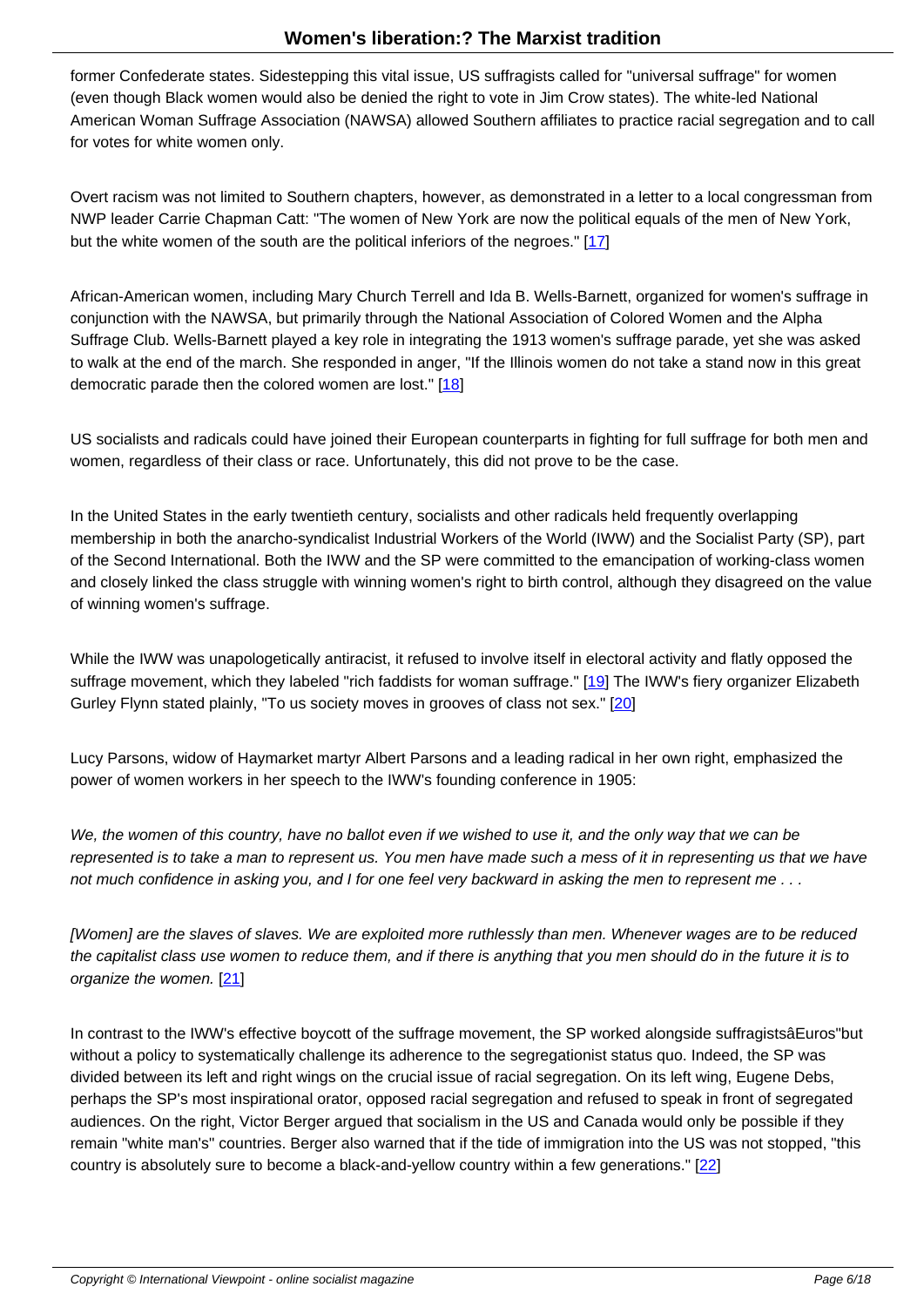former Confederate states. Sidestepping this vital issue, US suffragists called for "universal suffrage" for women (even though Black women would also be denied the right to vote in Jim Crow states). The white-led National American Woman Suffrage Association (NAWSA) allowed Southern affiliates to practice racial segregation and to call for votes for white women only.

Overt racism was not limited to Southern chapters, however, as demonstrated in a letter to a local congressman from NWP leader Carrie Chapman Catt: "The women of New York are now the political equals of the men of New York, but the white women of the south are the political inferiors of the negroes." [17]

African-American women, including Mary Church Terrell and Ida B. Wells-Barnett, organized for women's suffrage in conjunction with the NAWSA, but primarily through the National Associatio[n of](#nb17) Colored Women and the Alpha Suffrage Club. Wells-Barnett played a key role in integrating the 1913 women's suffrage parade, yet she was asked to walk at the end of the march. She responded in anger, "If the Illinois women do not take a stand now in this great democratic parade then the colored women are lost." [18]

US socialists and radicals could have joined their European counterparts in fighting for full suffrage for both men and women, regardless of their class or race. Unfortunatel[y, th](#nb18)is did not prove to be the case.

In the United States in the early twentieth century, socialists and other radicals held frequently overlapping membership in both the anarcho-syndicalist Industrial Workers of the World (IWW) and the Socialist Party (SP), part of the Second International. Both the IWW and the SP were committed to the emancipation of working-class women and closely linked the class struggle with winning women's right to birth control, although they disagreed on the value of winning women's suffrage.

While the IWW was unapologetically antiracist, it refused to involve itself in electoral activity and flatly opposed the suffrage movement, which they labeled "rich faddists for woman suffrage." [19] The IWW's fiery organizer Elizabeth Gurley Flynn stated plainly, "To us society moves in grooves of class not sex." [20]

Lucy Parsons, widow of Haymarket martyr Albert Parsons and a leading ra[dica](#nb19)l in her own right, emphasized the power of women workers in her speech to the IWW's founding conference in 1[905](#nb20):

We, the women of this country, have no ballot even if we wished to use it, and the only way that we can be represented is to take a man to represent us. You men have made such a mess of it in representing us that we have not much confidence in asking you, and I for one feel very backward in asking the men to represent me . . .

[Women] are the slaves of slaves. We are exploited more ruthlessly than men. Whenever wages are to be reduced the capitalist class use women to reduce them, and if there is anything that you men should do in the future it is to organize the women. [21]

In contrast to the IWW's effective boycott of the suffrage movement, the SP worked alongside suffragistsâEuros"but without a policy to sys[tem](#nb21)atically challenge its adherence to the segregationist status quo. Indeed, the SP was divided between its left and right wings on the crucial issue of racial segregation. On its left wing, Eugene Debs, perhaps the SP's most inspirational orator, opposed racial segregation and refused to speak in front of segregated audiences. On the right, Victor Berger argued that socialism in the US and Canada would only be possible if they remain "white man's" countries. Berger also warned that if the tide of immigration into the US was not stopped, "this country is absolutely sure to become a black-and-yellow country within a few generations." [22]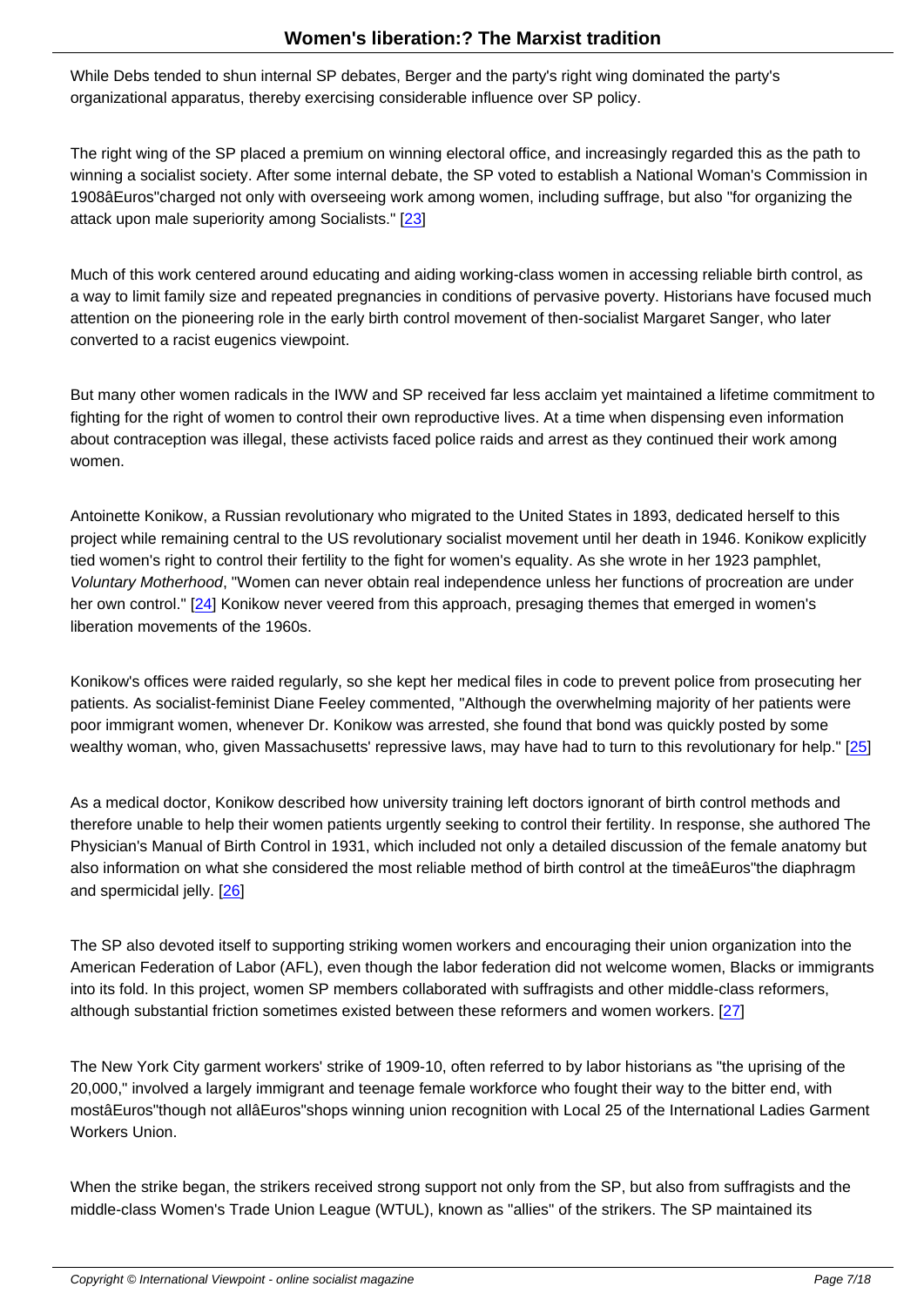While Debs tended to shun internal SP debates, Berger and the party's right wing dominated the party's organizational apparatus, thereby exercising considerable influence over SP policy.

The right wing of the SP placed a premium on winning electoral office, and increasingly regarded this as the path to winning a socialist society. After some internal debate, the SP voted to establish a National Woman's Commission in 1908âEuros"charged not only with overseeing work among women, including suffrage, but also "for organizing the attack upon male superiority among Socialists." [23]

Much of this work centered around educating and aiding working-class women in accessing reliable birth control, as a way to limit family size and repeated pregnanci[es](#nb23) in conditions of pervasive poverty. Historians have focused much attention on the pioneering role in the early birth control movement of then-socialist Margaret Sanger, who later converted to a racist eugenics viewpoint.

But many other women radicals in the IWW and SP received far less acclaim yet maintained a lifetime commitment to fighting for the right of women to control their own reproductive lives. At a time when dispensing even information about contraception was illegal, these activists faced police raids and arrest as they continued their work among women.

Antoinette Konikow, a Russian revolutionary who migrated to the United States in 1893, dedicated herself to this project while remaining central to the US revolutionary socialist movement until her death in 1946. Konikow explicitly tied women's right to control their fertility to the fight for women's equality. As she wrote in her 1923 pamphlet, Voluntary Motherhood, "Women can never obtain real independence unless her functions of procreation are under her own control." [24] Konikow never veered from this approach, presaging themes that emerged in women's liberation movements of the 1960s.

Konikow's offices [we](#nb24)re raided regularly, so she kept her medical files in code to prevent police from prosecuting her patients. As socialist-feminist Diane Feeley commented, "Although the overwhelming majority of her patients were poor immigrant women, whenever Dr. Konikow was arrested, she found that bond was quickly posted by some wealthy woman, who, given Massachusetts' repressive laws, may have had to turn to this revolutionary for help." [25]

As a medical doctor, Konikow described how university training left doctors ignorant of birth control methods and therefore unable to help their women patients urgently seeking to control their fertility. In response, she authored [The](#nb25) Physician's Manual of Birth Control in 1931, which included not only a detailed discussion of the female anatomy but also information on what she considered the most reliable method of birth control at the timeâEuros"the diaphragm and spermicidal jelly. [26]

The SP also devoted itself to supporting striking women workers and encouraging their union organization into the American Federation [of L](#nb26)abor (AFL), even though the labor federation did not welcome women, Blacks or immigrants into its fold. In this project, women SP members collaborated with suffragists and other middle-class reformers, although substantial friction sometimes existed between these reformers and women workers. [27]

The New York City garment workers' strike of 1909-10, often referred to by labor historians as "the uprising of the 20,000," involved a largely immigrant and teenage female workforce who fought their way to th[e bi](#nb27)tter end, with mostâEuros"though not allâEuros"shops winning union recognition with Local 25 of the International Ladies Garment Workers Union.

When the strike began, the strikers received strong support not only from the SP, but also from suffragists and the middle-class Women's Trade Union League (WTUL), known as "allies" of the strikers. The SP maintained its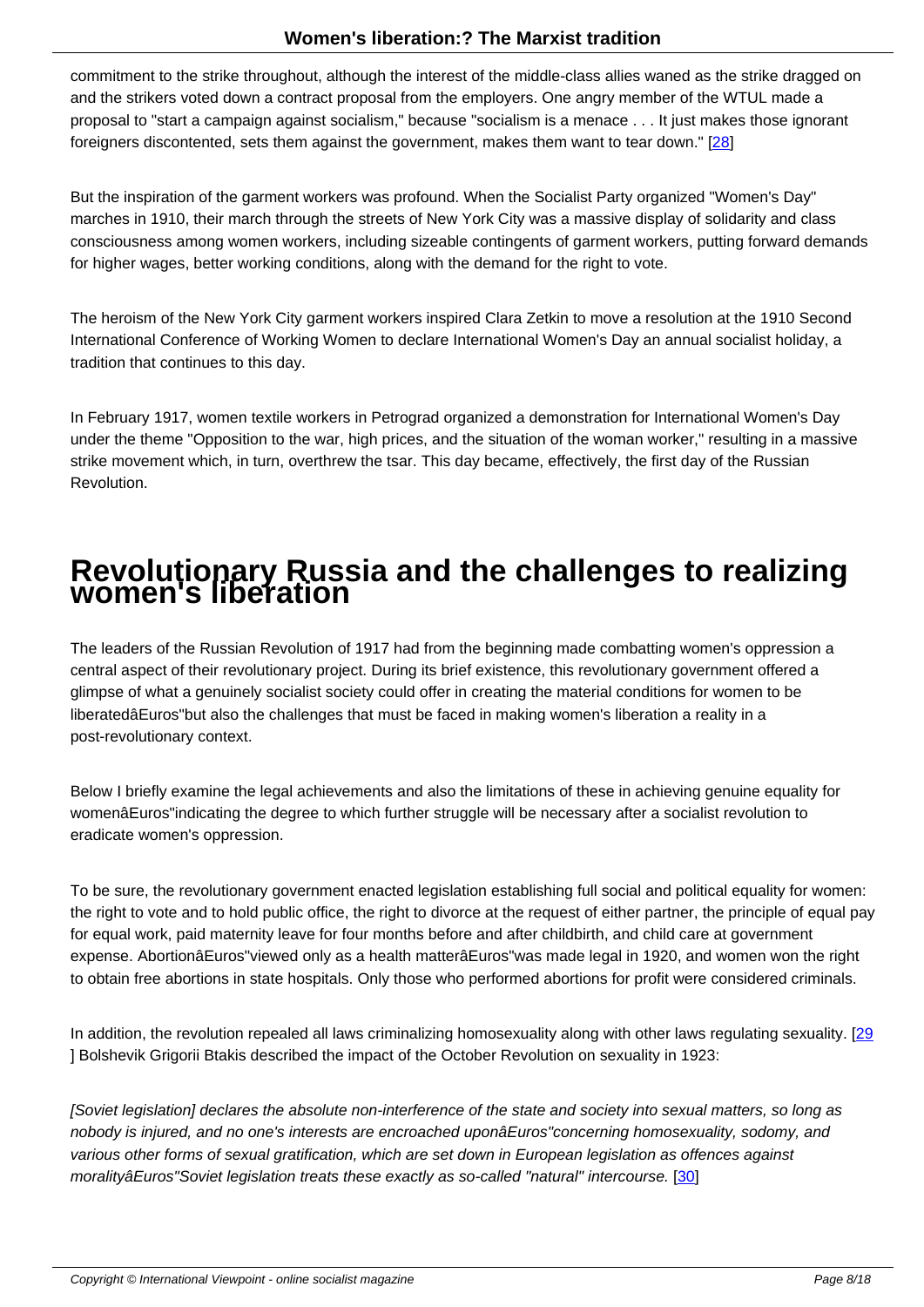commitment to the strike throughout, although the interest of the middle-class allies waned as the strike dragged on and the strikers voted down a contract proposal from the employers. One angry member of the WTUL made a proposal to "start a campaign against socialism," because "socialism is a menace . . . It just makes those ignorant foreigners discontented, sets them against the government, makes them want to tear down." [28]

But the inspiration of the garment workers was profound. When the Socialist Party organized "Women's Day" marches in 1910, their march through the streets of New York City was a massive display of [solid](#nb28)arity and class consciousness among women workers, including sizeable contingents of garment workers, putting forward demands for higher wages, better working conditions, along with the demand for the right to vote.

The heroism of the New York City garment workers inspired Clara Zetkin to move a resolution at the 1910 Second International Conference of Working Women to declare International Women's Day an annual socialist holiday, a tradition that continues to this day.

In February 1917, women textile workers in Petrograd organized a demonstration for International Women's Day under the theme "Opposition to the war, high prices, and the situation of the woman worker," resulting in a massive strike movement which, in turn, overthrew the tsar. This day became, effectively, the first day of the Russian Revolution.

## **Revolutionary Russia and the challenges to realizing women's liberation**

The leaders of the Russian Revolution of 1917 had from the beginning made combatting women's oppression a central aspect of their revolutionary project. During its brief existence, this revolutionary government offered a glimpse of what a genuinely socialist society could offer in creating the material conditions for women to be liberatedâEuros"but also the challenges that must be faced in making women's liberation a reality in a post-revolutionary context.

Below I briefly examine the legal achievements and also the limitations of these in achieving genuine equality for womenâEuros"indicating the degree to which further struggle will be necessary after a socialist revolution to eradicate women's oppression.

To be sure, the revolutionary government enacted legislation establishing full social and political equality for women: the right to vote and to hold public office, the right to divorce at the request of either partner, the principle of equal pay for equal work, paid maternity leave for four months before and after childbirth, and child care at government expense. AbortionâEuros"viewed only as a health matterâEuros"was made legal in 1920, and women won the right to obtain free abortions in state hospitals. Only those who performed abortions for profit were considered criminals.

In addition, the revolution repealed all laws criminalizing homosexuality along with other laws regulating sexuality. [29] ] Bolshevik Grigorii Btakis described the impact of the October Revolution on sexuality in 1923:

[Soviet legislation] declares the absolute non-interference of the state and society into sexual matters, so long as nobody is injured, and no one's interests are encroached uponâEuros"concerning homosexuality, sodomy, and various other forms of sexual gratification, which are set down in European legislation as offences against moralityâEuros"Soviet legislation treats these exactly as so-called "natural" intercourse. [30]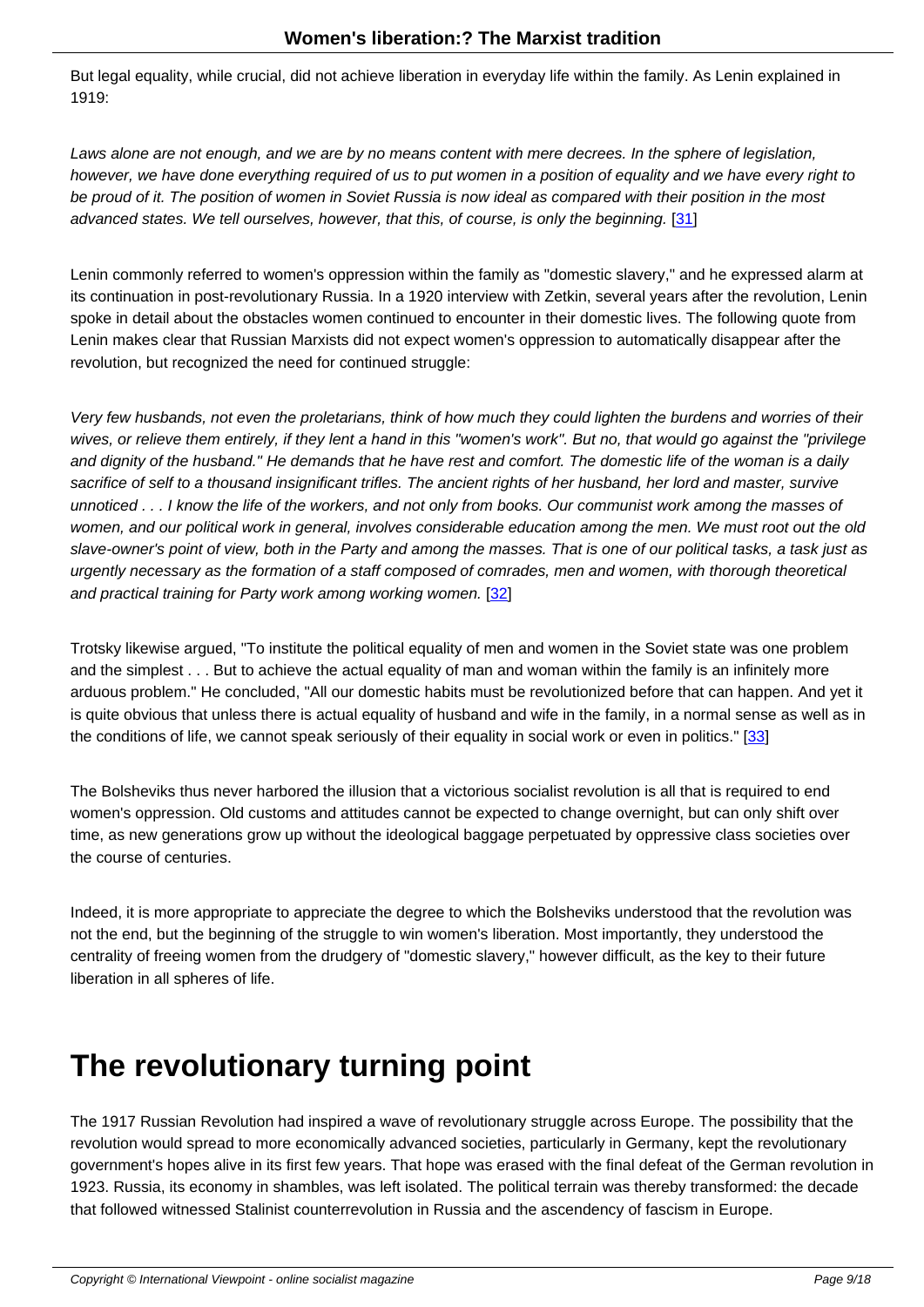But legal equality, while crucial, did not achieve liberation in everyday life within the family. As Lenin explained in 1919:

Laws alone are not enough, and we are by no means content with mere decrees. In the sphere of legislation, however, we have done everything required of us to put women in a position of equality and we have every right to be proud of it. The position of women in Soviet Russia is now ideal as compared with their position in the most advanced states. We tell ourselves, however, that this, of course, is only the beginning. [31]

Lenin commonly referred to women's oppression within the family as "domestic slavery," and he expressed alarm at its continuation in post-revolutionary Russia. In a 1920 interview with Zetkin, several yea[rs a](#nb31)fter the revolution, Lenin spoke in detail about the obstacles women continued to encounter in their domestic lives. The following quote from Lenin makes clear that Russian Marxists did not expect women's oppression to automatically disappear after the revolution, but recognized the need for continued struggle:

Very few husbands, not even the proletarians, think of how much they could lighten the burdens and worries of their wives, or relieve them entirely, if they lent a hand in this "women's work". But no, that would go against the "privilege and dignity of the husband." He demands that he have rest and comfort. The domestic life of the woman is a daily sacrifice of self to a thousand insignificant trifles. The ancient rights of her husband, her lord and master, survive unnoticed . . . I know the life of the workers, and not only from books. Our communist work among the masses of women, and our political work in general, involves considerable education among the men. We must root out the old slave-owner's point of view, both in the Party and among the masses. That is one of our political tasks, a task just as urgently necessary as the formation of a staff composed of comrades, men and women, with thorough theoretical and practical training for Party work among working women. [32]

Trotsky likewise argued, "To institute the political equality of men and women in the Soviet state was one problem and the simplest . . . But to achieve the actual equality of ma[n an](#nb32)d woman within the family is an infinitely more arduous problem." He concluded, "All our domestic habits must be revolutionized before that can happen. And yet it is quite obvious that unless there is actual equality of husband and wife in the family, in a normal sense as well as in the conditions of life, we cannot speak seriously of their equality in social work or even in politics." [33]

The Bolsheviks thus never harbored the illusion that a victorious socialist revolution is all that is required to end women's oppression. Old customs and attitudes cannot be expected to change overnight, but can [only](#nb33) shift over time, as new generations grow up without the ideological baggage perpetuated by oppressive class societies over the course of centuries.

Indeed, it is more appropriate to appreciate the degree to which the Bolsheviks understood that the revolution was not the end, but the beginning of the struggle to win women's liberation. Most importantly, they understood the centrality of freeing women from the drudgery of "domestic slavery," however difficult, as the key to their future liberation in all spheres of life.

### **The revolutionary turning point**

The 1917 Russian Revolution had inspired a wave of revolutionary struggle across Europe. The possibility that the revolution would spread to more economically advanced societies, particularly in Germany, kept the revolutionary government's hopes alive in its first few years. That hope was erased with the final defeat of the German revolution in 1923. Russia, its economy in shambles, was left isolated. The political terrain was thereby transformed: the decade that followed witnessed Stalinist counterrevolution in Russia and the ascendency of fascism in Europe.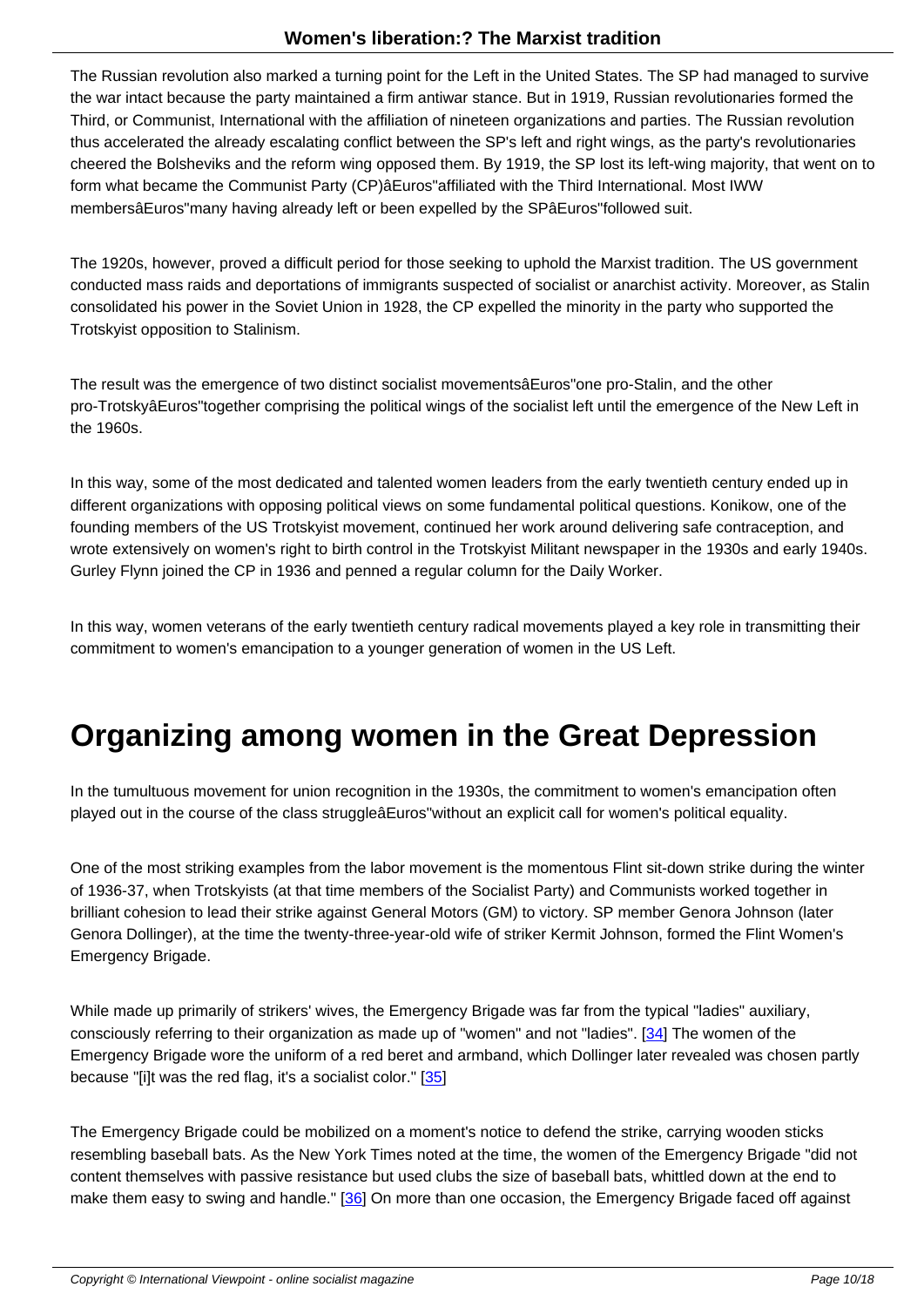The Russian revolution also marked a turning point for the Left in the United States. The SP had managed to survive the war intact because the party maintained a firm antiwar stance. But in 1919, Russian revolutionaries formed the Third, or Communist, International with the affiliation of nineteen organizations and parties. The Russian revolution thus accelerated the already escalating conflict between the SP's left and right wings, as the party's revolutionaries cheered the Bolsheviks and the reform wing opposed them. By 1919, the SP lost its left-wing majority, that went on to form what became the Communist Party (CP)âEuros"affiliated with the Third International. Most IWW membersâEuros"many having already left or been expelled by the SPâEuros"followed suit.

The 1920s, however, proved a difficult period for those seeking to uphold the Marxist tradition. The US government conducted mass raids and deportations of immigrants suspected of socialist or anarchist activity. Moreover, as Stalin consolidated his power in the Soviet Union in 1928, the CP expelled the minority in the party who supported the Trotskyist opposition to Stalinism.

The result was the emergence of two distinct socialist movementsâEuros"one pro-Stalin, and the other pro-TrotskyâEuros"together comprising the political wings of the socialist left until the emergence of the New Left in the 1960s.

In this way, some of the most dedicated and talented women leaders from the early twentieth century ended up in different organizations with opposing political views on some fundamental political questions. Konikow, one of the founding members of the US Trotskyist movement, continued her work around delivering safe contraception, and wrote extensively on women's right to birth control in the Trotskyist Militant newspaper in the 1930s and early 1940s. Gurley Flynn joined the CP in 1936 and penned a regular column for the Daily Worker.

In this way, women veterans of the early twentieth century radical movements played a key role in transmitting their commitment to women's emancipation to a younger generation of women in the US Left.

### **Organizing among women in the Great Depression**

In the tumultuous movement for union recognition in the 1930s, the commitment to women's emancipation often played out in the course of the class struggleâEuros"without an explicit call for women's political equality.

One of the most striking examples from the labor movement is the momentous Flint sit-down strike during the winter of 1936-37, when Trotskyists (at that time members of the Socialist Party) and Communists worked together in brilliant cohesion to lead their strike against General Motors (GM) to victory. SP member Genora Johnson (later Genora Dollinger), at the time the twenty-three-year-old wife of striker Kermit Johnson, formed the Flint Women's Emergency Brigade.

While made up primarily of strikers' wives, the Emergency Brigade was far from the typical "ladies" auxiliary, consciously referring to their organization as made up of "women" and not "ladies". [34] The women of the Emergency Brigade wore the uniform of a red beret and armband, which Dollinger later revealed was chosen partly because "[i]t was the red flag, it's a socialist color." [35]

The Emergency Brigade could be mobilized on a moment's notice to defend the strike, carrying wooden sticks resembling baseball bats. As the New York Times [note](#nb35)d at the time, the women of the Emergency Brigade "did not content themselves with passive resistance but used clubs the size of baseball bats, whittled down at the end to make them easy to swing and handle." [36] On more than one occasion, the Emergency Brigade faced off against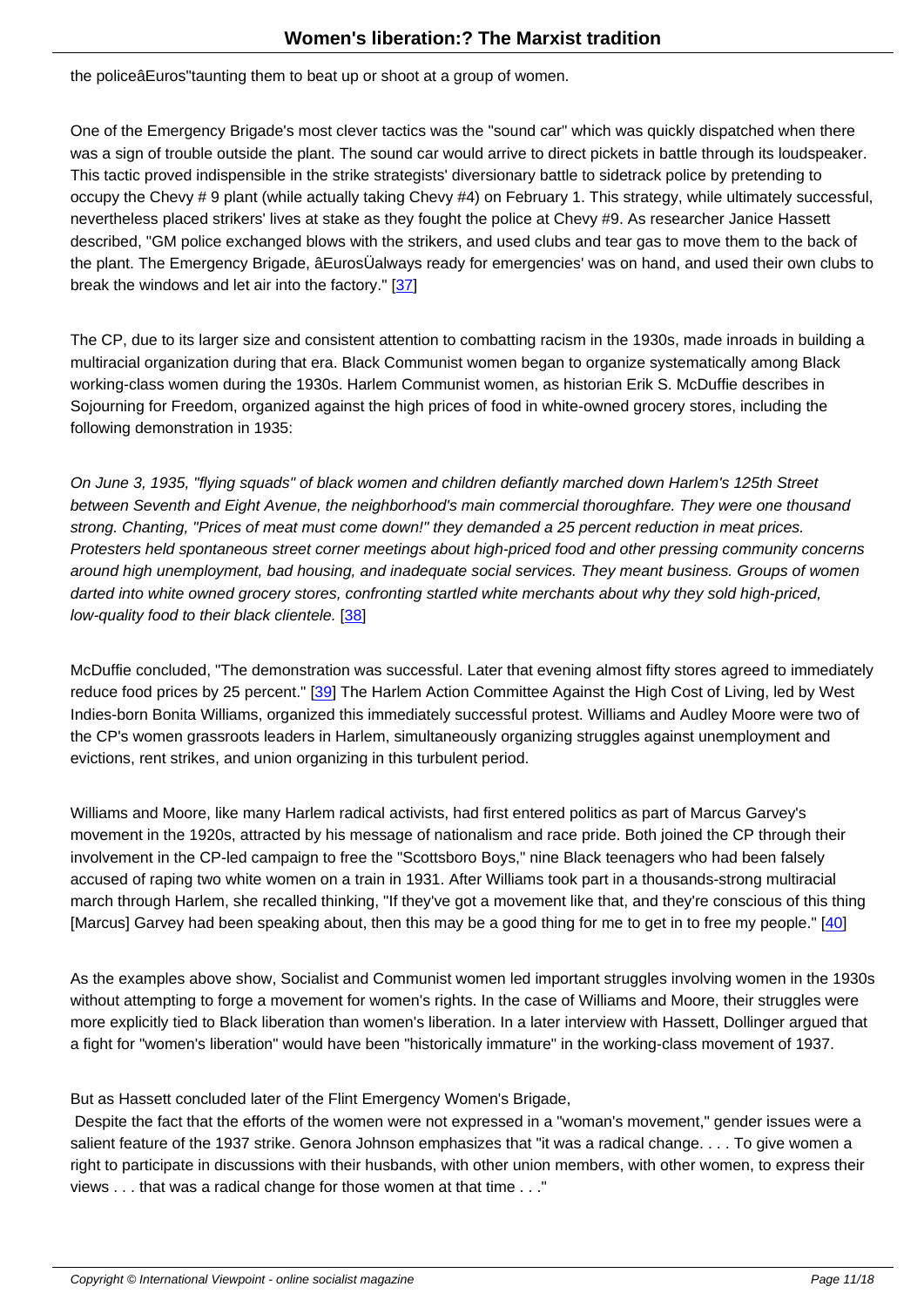the policeal area taunting them to beat up or shoot at a group or women.

One of the Emergency Brigade's most clever tactics was the "sound car" which was quickly dispatched when there was a sign of trouble outside the plant. The sound car would arrive to direct pickets in battle through its loudspeaker. This tactic proved indispensible in the strike strategists' diversionary battle to sidetrack police by pretending to occupy the Chevy # 9 plant (while actually taking Chevy #4) on February 1. This strategy, while ultimately successful, nevertheless placed strikers' lives at stake as they fought the police at Chevy #9. As researcher Janice Hassett described, "GM police exchanged blows with the strikers, and used clubs and tear gas to move them to the back of the plant. The Emergency Brigade, âEurosÜalways ready for emergencies' was on hand, and used their own clubs to break the windows and let air into the factory." [37]

The CP, due to its larger size and consistent attention to combatting racism in the 1930s, made inroads in building a multiracial organization during that era. Black C[om](#nb37)munist women began to organize systematically among Black working-class women during the 1930s. Harlem Communist women, as historian Erik S. McDuffie describes in Sojourning for Freedom, organized against the high prices of food in white-owned grocery stores, including the following demonstration in 1935:

On June 3, 1935, "flying squads" of black women and children defiantly marched down Harlem's 125th Street between Seventh and Eight Avenue, the neighborhood's main commercial thoroughfare. They were one thousand strong. Chanting, "Prices of meat must come down!" they demanded a 25 percent reduction in meat prices. Protesters held spontaneous street corner meetings about high-priced food and other pressing community concerns around high unemployment, bad housing, and inadequate social services. They meant business. Groups of women darted into white owned grocery stores, confronting startled white merchants about why they sold high-priced, low-quality food to their black clientele. [38]

McDuffie concluded, "The demonstration was successful. Later that evening almost fifty stores agreed to immediately reduce food prices by 25 percent." [39] [The](#nb38) Harlem Action Committee Against the High Cost of Living, led by West Indies-born Bonita Williams, organized this immediately successful protest. Williams and Audley Moore were two of the CP's women grassroots leaders in Harlem, simultaneously organizing struggles against unemployment and evictions, rent strikes, and union or[gan](#nb39)izing in this turbulent period.

Williams and Moore, like many Harlem radical activists, had first entered politics as part of Marcus Garvey's movement in the 1920s, attracted by his message of nationalism and race pride. Both joined the CP through their involvement in the CP-led campaign to free the "Scottsboro Boys," nine Black teenagers who had been falsely accused of raping two white women on a train in 1931. After Williams took part in a thousands-strong multiracial march through Harlem, she recalled thinking, "If they've got a movement like that, and they're conscious of this thing [Marcus] Garvey had been speaking about, then this may be a good thing for me to get in to free my people." [40]

As the examples above show, Socialist and Communist women led important struggles involving women in the 1930s without attempting to forge a movement for women's rights. In the case of Williams and Moore, their struggles [we](#nb40)re more explicitly tied to Black liberation than women's liberation. In a later interview with Hassett, Dollinger argued that a fight for "women's liberation" would have been "historically immature" in the working-class movement of 1937.

#### But as Hassett concluded later of the Flint Emergency Women's Brigade,

 Despite the fact that the efforts of the women were not expressed in a "woman's movement," gender issues were a salient feature of the 1937 strike. Genora Johnson emphasizes that "it was a radical change. . . . To give women a right to participate in discussions with their husbands, with other union members, with other women, to express their views . . . that was a radical change for those women at that time . . ."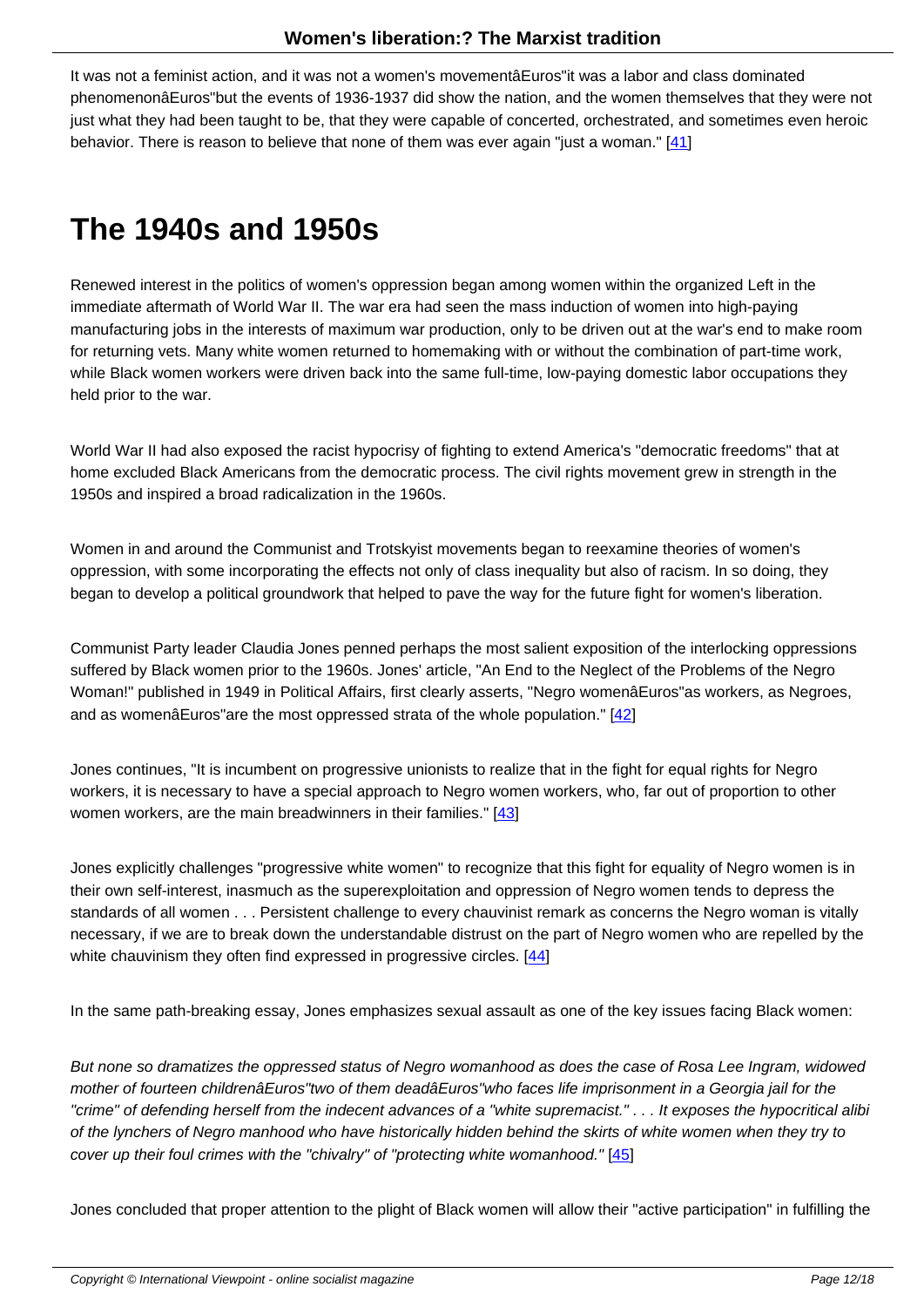It was not a feminist action, and it was not a women's movementâEuros"it was a labor and class dominated phenomenonâEuros"but the events of 1936-1937 did show the nation, and the women themselves that they were not just what they had been taught to be, that they were capable of concerted, orchestrated, and sometimes even heroic behavior. There is reason to believe that none of them was ever again "just a woman." [41]

## **The 1940s and 1950s**

Renewed interest in the politics of women's oppression began among women within the organized Left in the immediate aftermath of World War II. The war era had seen the mass induction of women into high-paying manufacturing jobs in the interests of maximum war production, only to be driven out at the war's end to make room for returning vets. Many white women returned to homemaking with or without the combination of part-time work, while Black women workers were driven back into the same full-time, low-paying domestic labor occupations they held prior to the war.

World War II had also exposed the racist hypocrisy of fighting to extend America's "democratic freedoms" that at home excluded Black Americans from the democratic process. The civil rights movement grew in strength in the 1950s and inspired a broad radicalization in the 1960s.

Women in and around the Communist and Trotskyist movements began to reexamine theories of women's oppression, with some incorporating the effects not only of class inequality but also of racism. In so doing, they began to develop a political groundwork that helped to pave the way for the future fight for women's liberation.

Communist Party leader Claudia Jones penned perhaps the most salient exposition of the interlocking oppressions suffered by Black women prior to the 1960s. Jones' article, "An End to the Neglect of the Problems of the Negro Woman!" published in 1949 in Political Affairs, first clearly asserts, "Negro womenâEuros"as workers, as Negroes, and as womenâEuros"are the most oppressed strata of the whole population." [42]

Jones continues, "It is incumbent on progressive unionists to realize that in the fight for equal rights for Negro workers, it is necessary to have a special approach to Negro women workers, [who](#nb42), far out of proportion to other women workers, are the main breadwinners in their families." [43]

Jones explicitly challenges "progressive white women" to recognize that this fight for equality of Negro women is in their own self-interest, inasmuch as the superexploitation and [opp](#nb43)ression of Negro women tends to depress the standards of all women . . . Persistent challenge to every chauvinist remark as concerns the Negro woman is vitally necessary, if we are to break down the understandable distrust on the part of Negro women who are repelled by the white chauvinism they often find expressed in progressive circles. [44]

In the same path-breaking essay, Jones emphasizes sexual assault as one of the key issues facing Black women:

But none so dramatizes the oppressed status of Negro womanhood as does the case of Rosa Lee Ingram, widowed mother of fourteen childrenâEuros"two of them deadâEuros"who faces life imprisonment in a Georgia jail for the "crime" of defending herself from the indecent advances of a "white supremacist." . . . It exposes the hypocritical alibi of the lynchers of Negro manhood who have historically hidden behind the skirts of white women when they try to cover up their foul crimes with the "chivalry" of "protecting white womanhood." [45]

Jones concluded that proper attention to the plight of Black women will allow their "active participation" in fulfilling the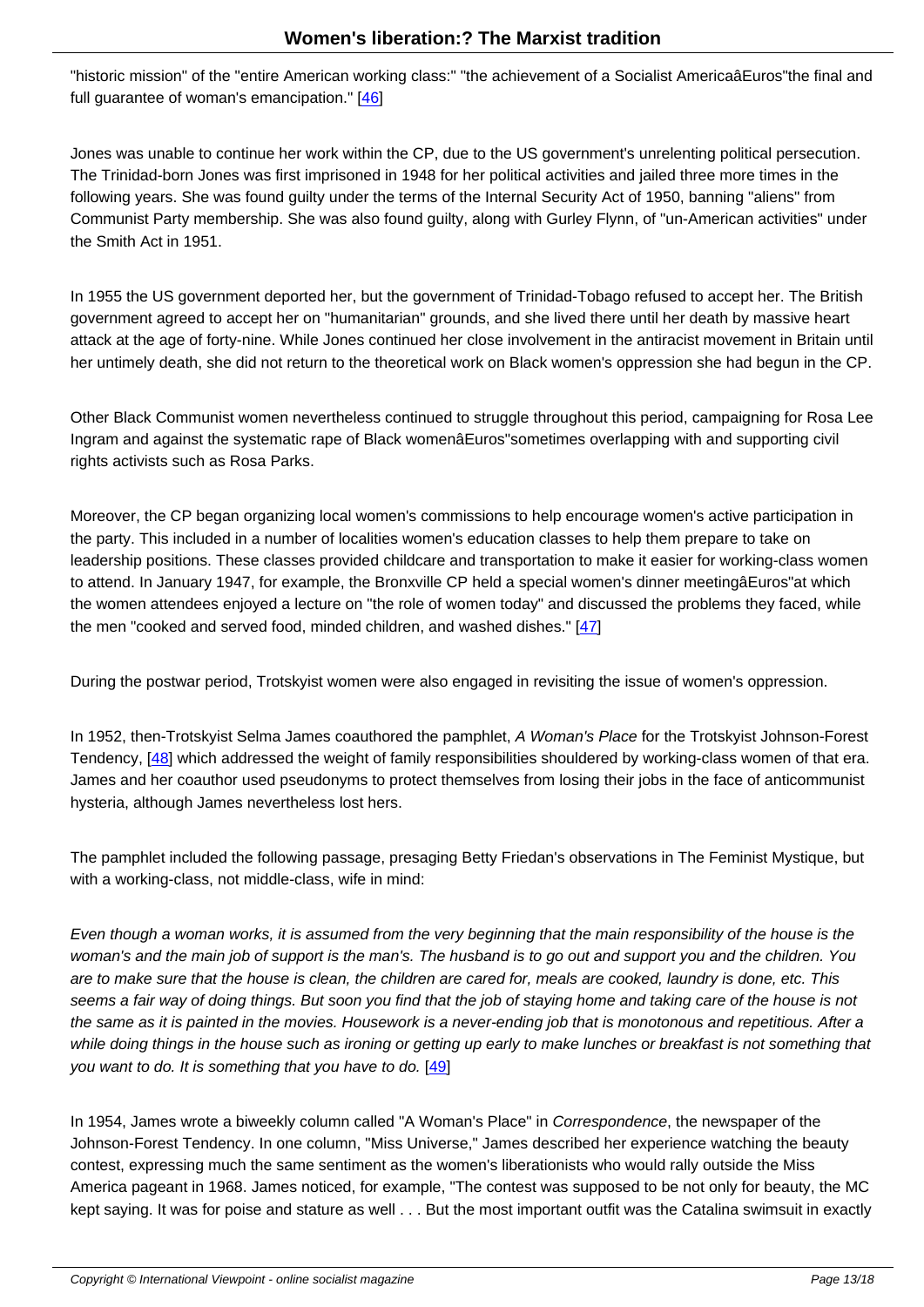"historic mission" of the "entire American working class:" "the achievement of a Socialist AmericaâEuros"the final and full guarantee of woman's emancipation." [46]

Jones was unable to continue her work within the CP, due to the US government's unrelenting political persecution. The Trinidad-born Jones was first impriso[ned](#nb46) in 1948 for her political activities and jailed three more times in the following years. She was found guilty under the terms of the Internal Security Act of 1950, banning "aliens" from Communist Party membership. She was also found guilty, along with Gurley Flynn, of "un-American activities" under the Smith Act in 1951.

In 1955 the US government deported her, but the government of Trinidad-Tobago refused to accept her. The British government agreed to accept her on "humanitarian" grounds, and she lived there until her death by massive heart attack at the age of forty-nine. While Jones continued her close involvement in the antiracist movement in Britain until her untimely death, she did not return to the theoretical work on Black women's oppression she had begun in the CP.

Other Black Communist women nevertheless continued to struggle throughout this period, campaigning for Rosa Lee Ingram and against the systematic rape of Black womenâEuros"sometimes overlapping with and supporting civil rights activists such as Rosa Parks.

Moreover, the CP began organizing local women's commissions to help encourage women's active participation in the party. This included in a number of localities women's education classes to help them prepare to take on leadership positions. These classes provided childcare and transportation to make it easier for working-class women to attend. In January 1947, for example, the Bronxville CP held a special women's dinner meetingâEuros"at which the women attendees enjoyed a lecture on "the role of women today" and discussed the problems they faced, while the men "cooked and served food, minded children, and washed dishes." [47]

During the postwar period, Trotskyist women were also engaged in revisiting the issue of women's oppression.

In 1952, then-Trotskyist Selma James coauthored the pamphlet, A Woman's Place for the Trotskyist Johnson-Forest Tendency, [48] which addressed the weight of family responsibilities shouldered by working-class women of that era. James and her coauthor used pseudonyms to protect themselves from losing their jobs in the face of anticommunist hysteria, although James nevertheless lost hers.

The pamphlet included the following passage, presaging Betty Friedan's observations in The Feminist Mystique, but with a working-class, not middle-class, wife in mind:

Even though a woman works, it is assumed from the very beginning that the main responsibility of the house is the woman's and the main job of support is the man's. The husband is to go out and support you and the children. You are to make sure that the house is clean, the children are cared for, meals are cooked, laundry is done, etc. This seems a fair way of doing things. But soon you find that the job of staying home and taking care of the house is not the same as it is painted in the movies. Housework is a never-ending job that is monotonous and repetitious. After a while doing things in the house such as ironing or getting up early to make lunches or breakfast is not something that you want to do. It is something that you have to do. [49]

In 1954, James wrote a biweekly column called "A Woman's Place" in Correspondence, the newspaper of the Johnson-Forest Tendency. In one column, "Miss Un[iver](#nb49)se," James described her experience watching the beauty contest, expressing much the same sentiment as the women's liberationists who would rally outside the Miss America pageant in 1968. James noticed, for example, "The contest was supposed to be not only for beauty, the MC kept saying. It was for poise and stature as well . . . But the most important outfit was the Catalina swimsuit in exactly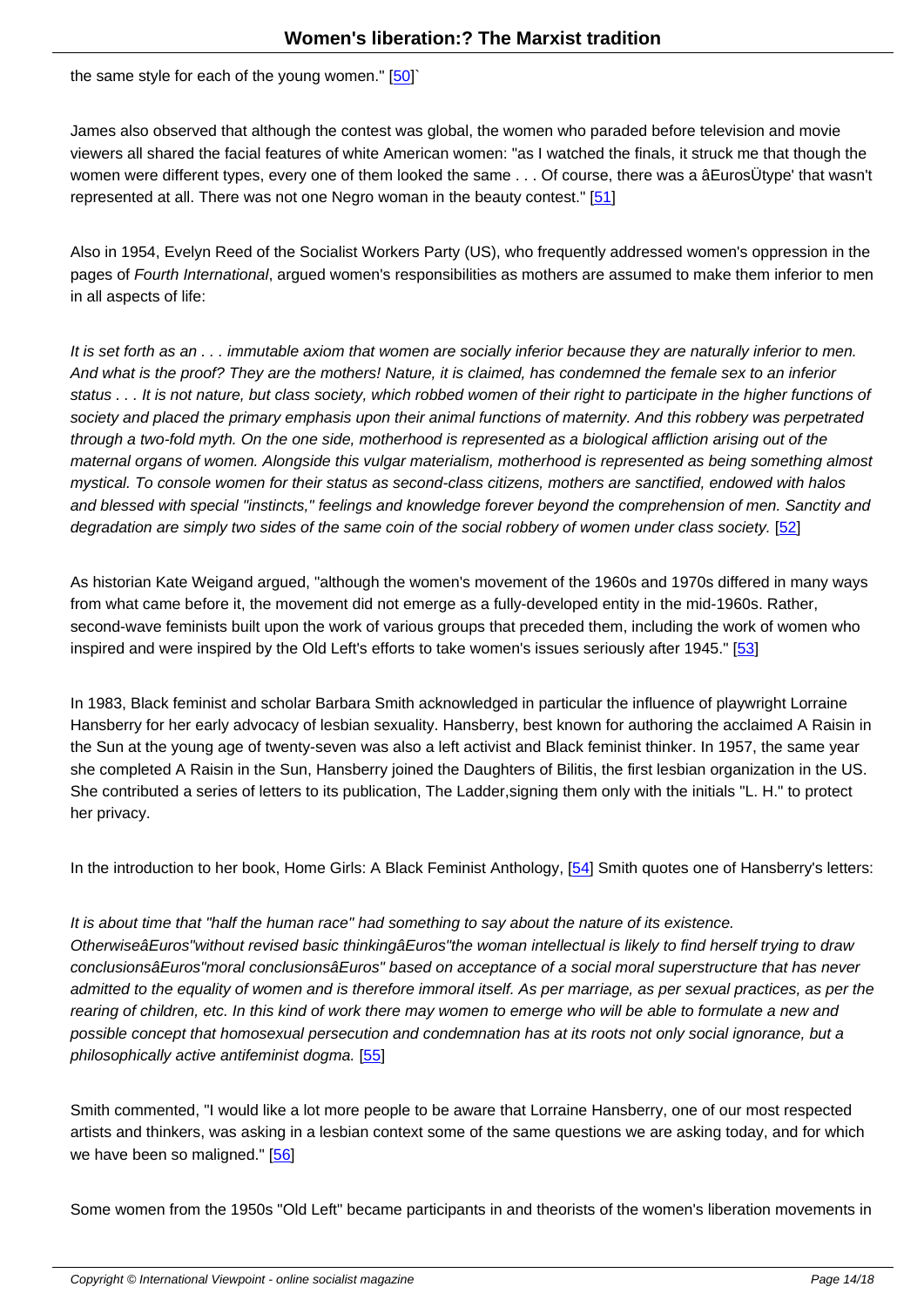James also observed that although the contest was global, the women who paraded before television and movie viewers all shared the facial features of white [Ame](#nb50)rican women: "as I watched the finals, it struck me that though the women were different types, every one of them looked the same . . . Of course, there was a âEurosÜtype' that wasn't represented at all. There was not one Negro woman in the beauty contest." [51]

Also in 1954, Evelyn Reed of the Socialist Workers Party (US), who frequently addressed women's oppression in the pages of Fourth International, argued women's responsibilities as mothers a[re a](#nb51)ssumed to make them inferior to men in all aspects of life:

It is set forth as an . . . immutable axiom that women are socially inferior because they are naturally inferior to men. And what is the proof? They are the mothers! Nature, it is claimed, has condemned the female sex to an inferior status . . . It is not nature, but class society, which robbed women of their right to participate in the higher functions of society and placed the primary emphasis upon their animal functions of maternity. And this robbery was perpetrated through a two-fold myth. On the one side, motherhood is represented as a biological affliction arising out of the maternal organs of women. Alongside this vulgar materialism, motherhood is represented as being something almost mystical. To console women for their status as second-class citizens, mothers are sanctified, endowed with halos and blessed with special "instincts," feelings and knowledge forever beyond the comprehension of men. Sanctity and degradation are simply two sides of the same coin of the social robbery of women under class society. [52]

As historian Kate Weigand argued, "although the women's movement of the 1960s and 1970s differed in many ways from what came before it, the movement did not emerge as a fully-developed entity in the mid-1960s. R[ath](#nb52)er, second-wave feminists built upon the work of various groups that preceded them, including the work of women who inspired and were inspired by the Old Left's efforts to take women's issues seriously after 1945." [53]

In 1983, Black feminist and scholar Barbara Smith acknowledged in particular the influence of playwright Lorraine Hansberry for her early advocacy of lesbian sexuality. Hansberry, best known for authoring the a[ccla](#nb53)imed A Raisin in the Sun at the young age of twenty-seven was also a left activist and Black feminist thinker. In 1957, the same year she completed A Raisin in the Sun, Hansberry joined the Daughters of Bilitis, the first lesbian organization in the US. She contributed a series of letters to its publication, The Ladder,signing them only with the initials "L. H." to protect her privacy.

In the introduction to her book, Home Girls: A Black Feminist Anthology, [54] Smith quotes one of Hansberry's letters:

It is about time that "half the human race" had something to say about the nature of its existence. OtherwiseâEuros"without revised basic thinkingâEuros"the woman intelle[ctu](#nb54)al is likely to find herself trying to draw conclusionsâEuros"moral conclusionsâEuros" based on acceptance of a social moral superstructure that has never admitted to the equality of women and is therefore immoral itself. As per marriage, as per sexual practices, as per the rearing of children, etc. In this kind of work there may women to emerge who will be able to formulate a new and possible concept that homosexual persecution and condemnation has at its roots not only social ignorance, but a philosophically active antifeminist dogma. [55]

Smith commented, "I would like a lot more people to be aware that Lorraine Hansberry, one of our most respected artists and thinkers, was asking in a lesbia[n c](#nb55)ontext some of the same questions we are asking today, and for which we have been so maligned." [56]

Some women from the 1950s "Old Left" became participants in and theorists of the women's liberation movements in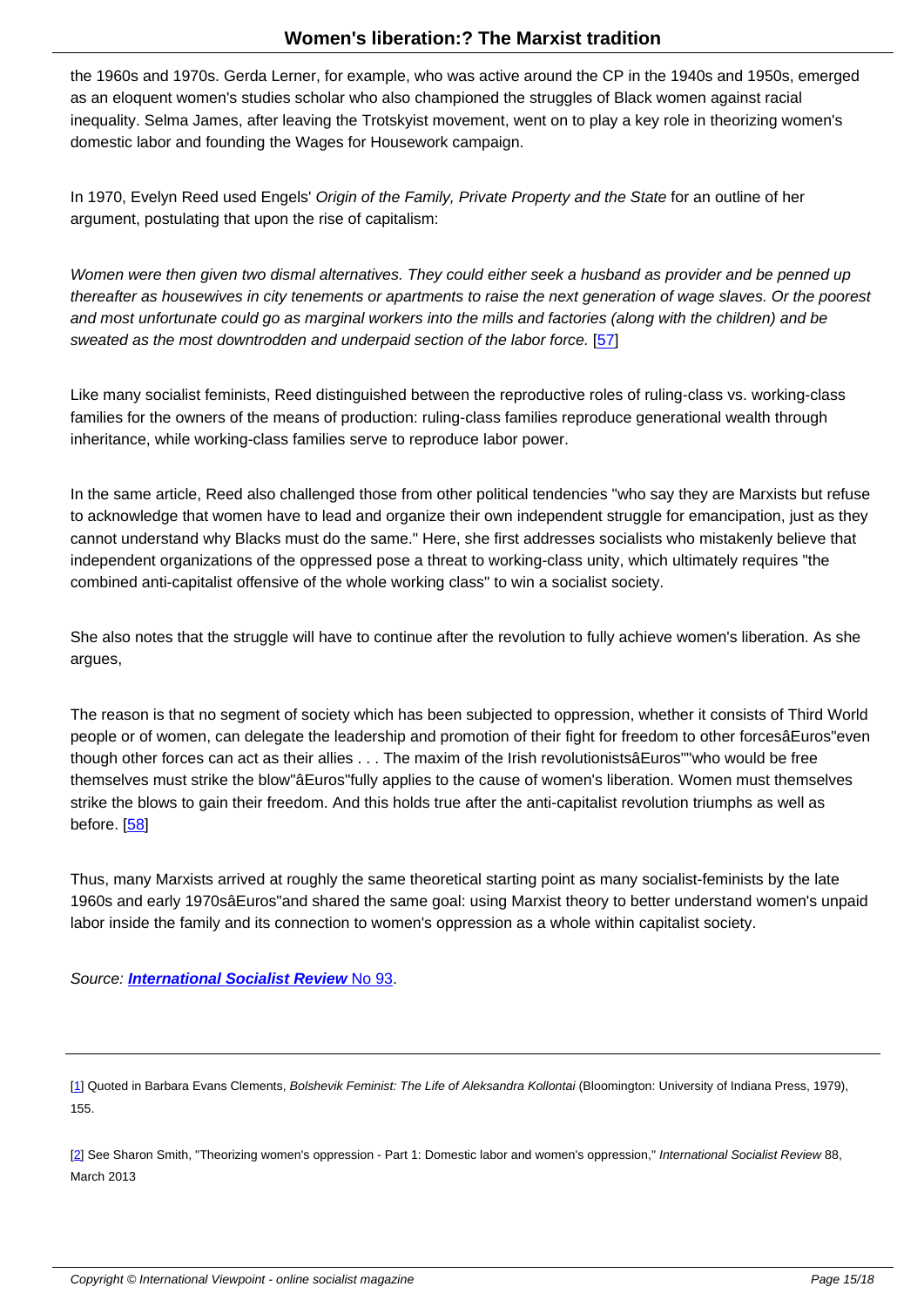the 1960s and 1970s. Gerda Lerner, for example, who was active around the CP in the 1940s and 1950s, emerged as an eloquent women's studies scholar who also championed the struggles of Black women against racial inequality. Selma James, after leaving the Trotskyist movement, went on to play a key role in theorizing women's domestic labor and founding the Wages for Housework campaign.

In 1970, Evelyn Reed used Engels' Origin of the Family, Private Property and the State for an outline of her argument, postulating that upon the rise of capitalism:

Women were then given two dismal alternatives. They could either seek a husband as provider and be penned up thereafter as housewives in city tenements or apartments to raise the next generation of wage slaves. Or the poorest and most unfortunate could go as marginal workers into the mills and factories (along with the children) and be sweated as the most downtrodden and underpaid section of the labor force. [57]

Like many socialist feminists, Reed distinguished between the reproductive roles of ruling-class vs. working-class families for the owners of the means of production: ruling-class families repr[odu](#nb57)ce generational wealth through inheritance, while working-class families serve to reproduce labor power.

In the same article, Reed also challenged those from other political tendencies "who say they are Marxists but refuse to acknowledge that women have to lead and organize their own independent struggle for emancipation, just as they cannot understand why Blacks must do the same." Here, she first addresses socialists who mistakenly believe that independent organizations of the oppressed pose a threat to working-class unity, which ultimately requires "the combined anti-capitalist offensive of the whole working class" to win a socialist society.

She also notes that the struggle will have to continue after the revolution to fully achieve women's liberation. As she argues,

The reason is that no segment of society which has been subjected to oppression, whether it consists of Third World people or of women, can delegate the leadership and promotion of their fight for freedom to other forcesâEuros"even though other forces can act as their allies . . . The maxim of the Irish revolutionistsâEuros""who would be free themselves must strike the blow"âEuros"fully applies to the cause of women's liberation. Women must themselves strike the blows to gain their freedom. And this holds true after the anti-capitalist revolution triumphs as well as before. [58]

Thus, many Marxists arrived at roughly the same theoretical starting point as many socialist-feminists by the late 1960s a[nd](#nb58) early 1970sâEuros"and shared the same goal: using Marxist theory to better understand women's unpaid labor inside the family and its connection to women's oppression as a whole within capitalist society.

Source: **International Socialist Review** No 93.

[1] Quoted in Barbara Evans Clements, Bolshevik Feminist: The Life of Aleksandra Kollontai (Bloomington: University of Indiana Press, 1979), 155.

[[2](#nh1)] See Sharon Smith, "Theorizing women's oppression - Part 1: Domestic labor and women's oppression," International Socialist Review 88, March 2013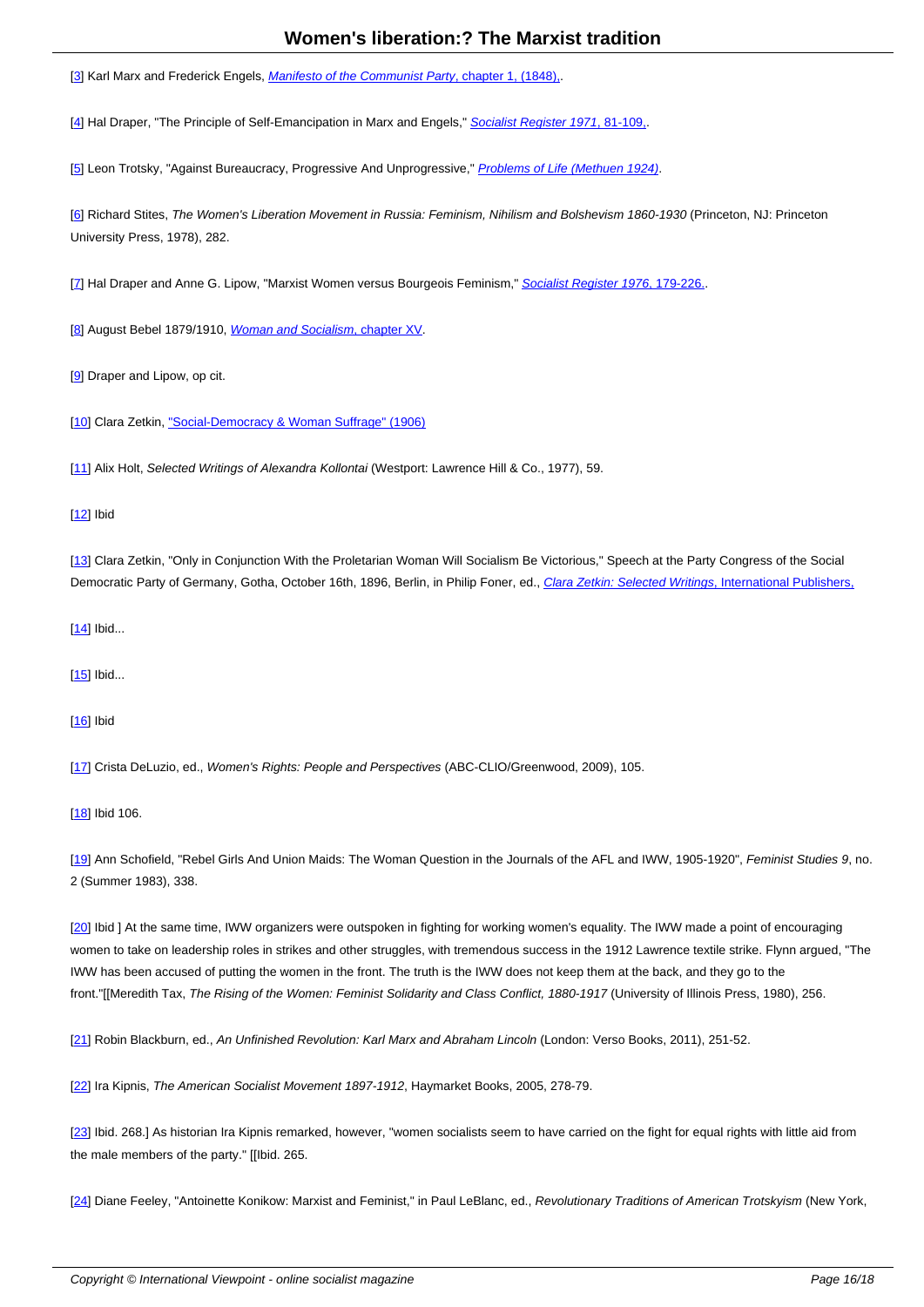**S** Karl Marx and Frederick Engels, <mark>M</mark>

[4] Hal Draper, "The Principle of Self-Emancipation in Marx and Engels," Socialist Register 1971, 81-109,.

[5] Leon Trotsky, "Against Bureaucracy, Progressive And Unprogressive," Problems of Life (Methuen 1924).

[6] Richard Stites, The Women's Liberation Movement in Russia: Feminism, Nihilism and Bolshevism 1860-1930 (Princeton, NJ: Princeton [Un](#nh5)iversity Press, 1978), 282.

[[7](#nh6)] Hal Draper and Anne G. Lipow, "Marxist Women versus Bourgeois Feminism," Socialist Register 1976, 179-226..

[8] August Bebel 1879/1910, *Woman and Socialism*, chapter XV.

[9] Draper and Lipow, op cit.

[10] Clara Zetkin, "Social-Democracy & Woman Suffrage" (1906)

[11] Alix Holt, Selected Writings of Alexandra Kollontai (Westport: Lawrence Hill & Co., 1977), 59.

[12] Ibid

[13] Clara Zetkin, "Only in Conjunction With the Proletarian Woman Will Socialism Be Victorious," Speech at the Party Congress of the Social [Dem](#nh12)ocratic Party of Germany, Gotha, October 16th, 1896, Berlin, in Philip Foner, ed., Clara Zetkin: Selected Writings, International Publishers,

[[14](#nh13)] Ibid...

 $[15]$  Ibid...

[16] Ibid

[17] Crista DeLuzio, ed., Women's Rights: People and Perspectives (ABC-CLIO/Greenwood, 2009), 105.

[18] Ibid 106.

[19] Ann Schofield, "Rebel Girls And Union Maids: The Woman Question in the Journals of the AFL and IWW, 1905-1920", Feminist Studies 9, no. [2 \(S](#nh18)ummer 1983), 338.

[[20](#nh19)] Ibid ] At the same time, IWW organizers were outspoken in fighting for working women's equality. The IWW made a point of encouraging women to take on leadership roles in strikes and other struggles, with tremendous success in the 1912 Lawrence textile strike. Flynn argued, "The IWW has been accused of putting the women in the front. The truth is the IWW does not keep them at the back, and they go to the f[ron](#nh20)t."[[Meredith Tax, The Rising of the Women: Feminist Solidarity and Class Conflict, 1880-1917 (University of Illinois Press, 1980), 256.

[21] Robin Blackburn, ed., An Unfinished Revolution: Karl Marx and Abraham Lincoln (London: Verso Books, 2011), 251-52.

[22] Ira Kipnis, The American Socialist Movement 1897-1912, Haymarket Books, 2005, 278-79.

[23] Ibid. 268.] As historian Ira Kipnis remarked, however, "women socialists seem to have carried on the fight for equal rights with little aid from t[he](#nh22) male members of the party." [[Ibid. 265.

[[24](#nh23)] Diane Feeley, "Antoinette Konikow: Marxist and Feminist," in Paul LeBlanc, ed., Revolutionary Traditions of American Trotskyism (New York,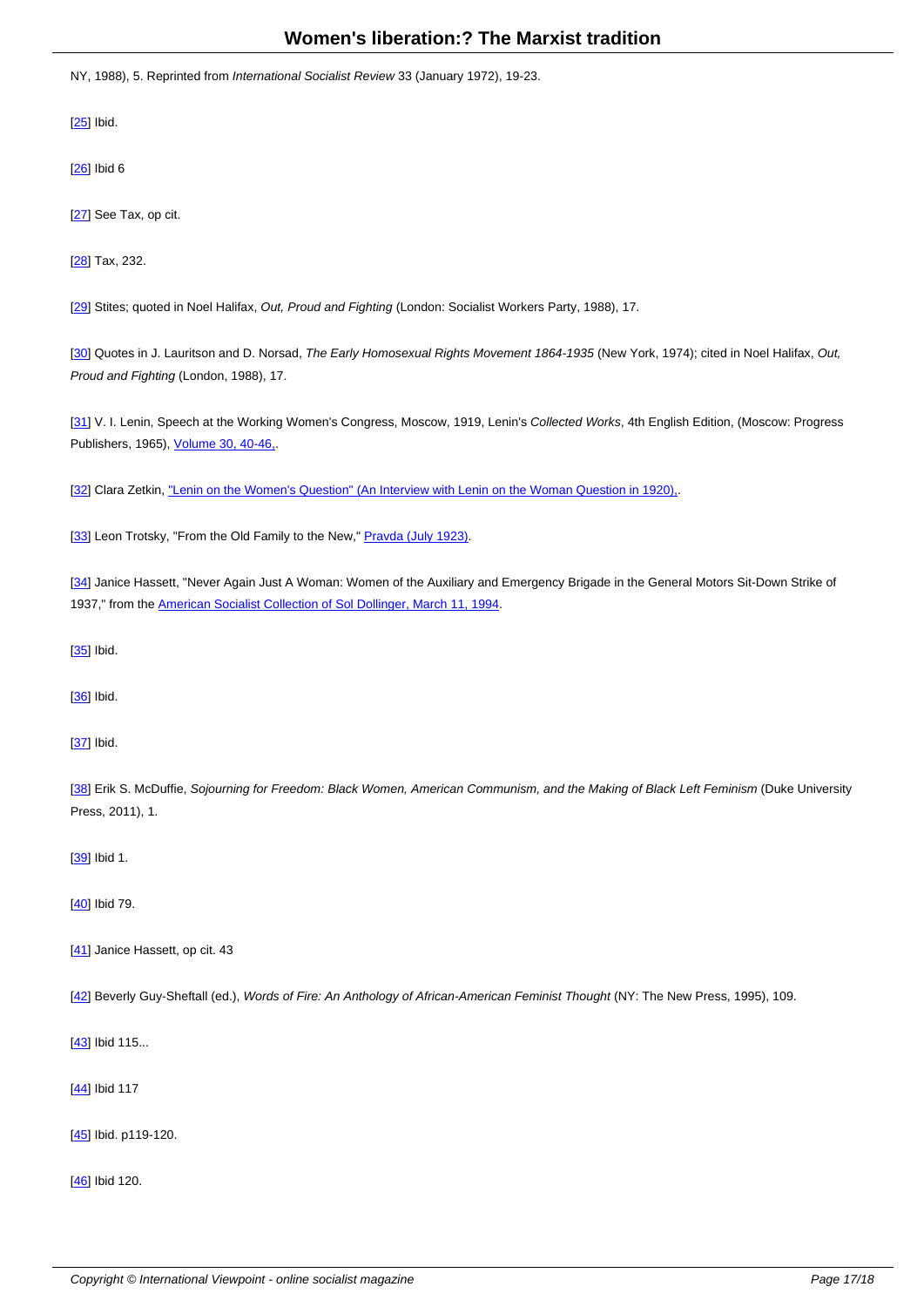$N$ , 1988), 5. Reprinted from *International* Socialist Review 33 (January 1972), 19-23.

[25] Ibid.

[26] Ibid 6

[27] See Tax, op cit.

[28] Tax, 232.

[29] Stites; quoted in Noel Halifax, Out, Proud and Fighting (London: Socialist Workers Party, 1988), 17.

[30] Quotes in J. Lauritson and D. Norsad, The Early Homosexual Rights Movement 1864-1935 (New York, 1974); cited in Noel Halifax, Out, [Pro](#nh29)ud and Fighting (London, 1988), 17.

[[31](#nh30)] V. I. Lenin, Speech at the Working Women's Congress, Moscow, 1919, Lenin's Collected Works, 4th English Edition, (Moscow: Progress Publishers, 1965), Volume 30, 40-46,.

[[32](#nh31)] Clara Zetkin, "Lenin on the Women's Question" (An Interview with Lenin on the Woman Question in 1920),.

[33] Leon Trotsky, "From the Old Family to the New," Pravda (July 1923).

[34] Janice Hassett, "Never Again Just A Woman: Women of the Auxiliary and Emergency Brigade in the General Motors Sit-Down Strike of [193](#nh33)7," from the American Socialist Collection of Sol [Dollinger, March 11,](http://www.marxists.org/archive/trotsky/women/life/23_07_13.htm) 1994.

[[35](#nh34)] Ibid.

[36] Ibid.

[37] Ibid.

[38] Erik S. McDuffie, Sojourning for Freedom: Black Women, American Communism, and the Making of Black Left Feminism (Duke University [Pre](#nh37)ss, 2011), 1.

[[39](#nh38)] Ibid 1.

[40] Ibid 79.

[41] Janice Hassett, op cit. 43

[42] Beverly Guy-Sheftall (ed.), Words of Fire: An Anthology of African-American Feminist Thought (NY: The New Press, 1995), 109.

[43] Ibid 115...

[44] Ibid 117

[45] Ibid. p119-120.

[46] Ibid 120.